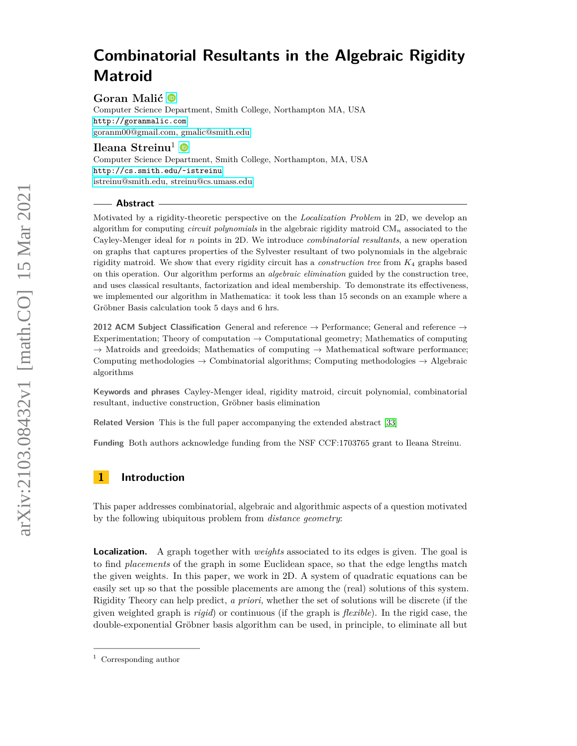**Goran Malić**

Computer Science Department, Smith College, Northampton MA, USA <http://goranmalic.com> [goranm00@gmail.com, gmalic@smith.edu](mailto:goranm00@gmail.com, gmalic@smith.edu)

**Ileana Streinu<sup>1</sup>** 

Computer Science Department, Smith College, Northampton, MA, USA <http://cs.smith.edu/~istreinu> [istreinu@smith.edu, streinu@cs.umass.edu](mailto:istreinu@smith.edu, streinu@cs.umass.edu)

## **Abstract**

Motivated by a rigidity-theoretic perspective on the *Localization Problem* in 2D, we develop an algorithm for computing *circuit polynomials* in the algebraic rigidity matroid CM*<sup>n</sup>* associated to the Cayley-Menger ideal for *n* points in 2D. We introduce *combinatorial resultants*, a new operation on graphs that captures properties of the Sylvester resultant of two polynomials in the algebraic rigidity matroid. We show that every rigidity circuit has a *construction tree* from *K*<sup>4</sup> graphs based on this operation. Our algorithm performs an *algebraic elimination* guided by the construction tree, and uses classical resultants, factorization and ideal membership. To demonstrate its effectiveness, we implemented our algorithm in Mathematica: it took less than 15 seconds on an example where a Gröbner Basis calculation took 5 days and 6 hrs.

**2012 ACM Subject Classification** General and reference → Performance; General and reference → Experimentation; Theory of computation  $\rightarrow$  Computational geometry; Mathematics of computing  $\rightarrow$  Matroids and greedoids; Mathematics of computing  $\rightarrow$  Mathematical software performance; Computing methodologies  $\rightarrow$  Combinatorial algorithms; Computing methodologies  $\rightarrow$  Algebraic algorithms

**Keywords and phrases** Cayley-Menger ideal, rigidity matroid, circuit polynomial, combinatorial resultant, inductive construction, Gröbner basis elimination

**Related Version** This is the full paper accompanying the extended abstract [\[33\]](#page-30-0)

**Funding** Both authors acknowledge funding from the NSF CCF:1703765 grant to Ileana Streinu.

# **1 Introduction**

This paper addresses combinatorial, algebraic and algorithmic aspects of a question motivated by the following ubiquitous problem from *distance geometry*:

**Localization.** A graph together with *weights* associated to its edges is given. The goal is to find *placements* of the graph in some Euclidean space, so that the edge lengths match the given weights. In this paper, we work in 2D. A system of quadratic equations can be easily set up so that the possible placements are among the (real) solutions of this system. Rigidity Theory can help predict, *a priori,* whether the set of solutions will be discrete (if the given weighted graph is *rigid*) or continuous (if the graph is *flexible*). In the rigid case, the double-exponential Gröbner basis algorithm can be used, in principle, to eliminate all but

<sup>1</sup> Corresponding author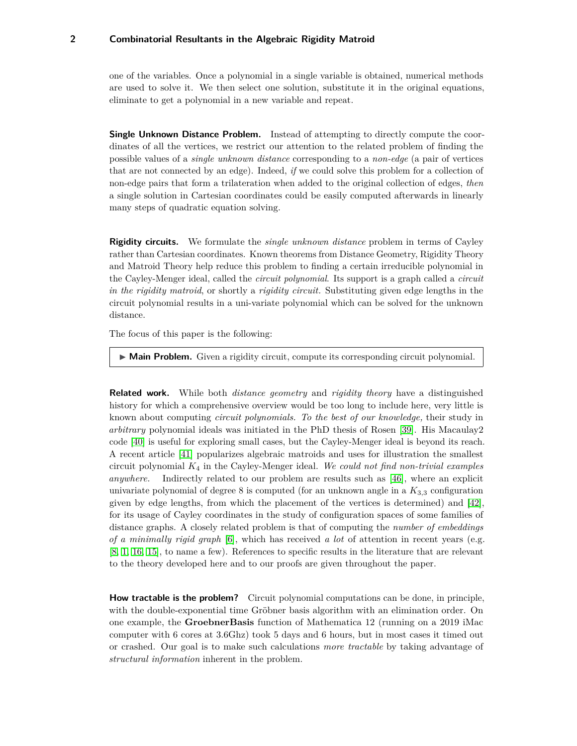one of the variables. Once a polynomial in a single variable is obtained, numerical methods are used to solve it. We then select one solution, substitute it in the original equations, eliminate to get a polynomial in a new variable and repeat.

**Single Unknown Distance Problem.** Instead of attempting to directly compute the coordinates of all the vertices, we restrict our attention to the related problem of finding the possible values of a *single unknown distance* corresponding to a *non-edge* (a pair of vertices that are not connected by an edge). Indeed, *if* we could solve this problem for a collection of non-edge pairs that form a trilateration when added to the original collection of edges, *then* a single solution in Cartesian coordinates could be easily computed afterwards in linearly many steps of quadratic equation solving.

**Rigidity circuits.** We formulate the *single unknown distance* problem in terms of Cayley rather than Cartesian coordinates. Known theorems from Distance Geometry, Rigidity Theory and Matroid Theory help reduce this problem to finding a certain irreducible polynomial in the Cayley-Menger ideal, called the *circuit polynomial*. Its support is a graph called a *circuit in the rigidity matroid*, or shortly a *rigidity circuit.* Substituting given edge lengths in the circuit polynomial results in a uni-variate polynomial which can be solved for the unknown distance.

The focus of this paper is the following:

► Main Problem. Given a rigidity circuit, compute its corresponding circuit polynomial.

**Related work.** While both *distance geometry* and *rigidity theory* have a distinguished history for which a comprehensive overview would be too long to include here, very little is known about computing *circuit polynomials. To the best of our knowledge,* their study in *arbitrary* polynomial ideals was initiated in the PhD thesis of Rosen [\[39\]](#page-30-1). His Macaulay2 code [\[40\]](#page-30-2) is useful for exploring small cases, but the Cayley-Menger ideal is beyond its reach. A recent article [\[41\]](#page-30-3) popularizes algebraic matroids and uses for illustration the smallest circuit polynomial *K*<sup>4</sup> in the Cayley-Menger ideal. *We could not find non-trivial examples anywhere.* Indirectly related to our problem are results such as [\[46\]](#page-31-0), where an explicit univariate polynomial of degree 8 is computed (for an unknown angle in a  $K_{3,3}$  configuration given by edge lengths, from which the placement of the vertices is determined) and [\[42\]](#page-30-4), for its usage of Cayley coordinates in the study of configuration spaces of some families of distance graphs. A closely related problem is that of computing the *number of embeddings of a minimally rigid graph* [\[6\]](#page-29-0), which has received *a lot* of attention in recent years (e.g. [\[8,](#page-29-1) [1,](#page-28-0) [16,](#page-29-2) [15\]](#page-29-3), to name a few). References to specific results in the literature that are relevant to the theory developed here and to our proofs are given throughout the paper.

**How tractable is the problem?** Circuit polynomial computations can be done, in principle, with the double-exponential time Gröbner basis algorithm with an elimination order. On one example, the **GroebnerBasis** function of Mathematica 12 (running on a 2019 iMac computer with 6 cores at 3.6Ghz) took 5 days and 6 hours, but in most cases it timed out or crashed. Our goal is to make such calculations *more tractable* by taking advantage of *structural information* inherent in the problem.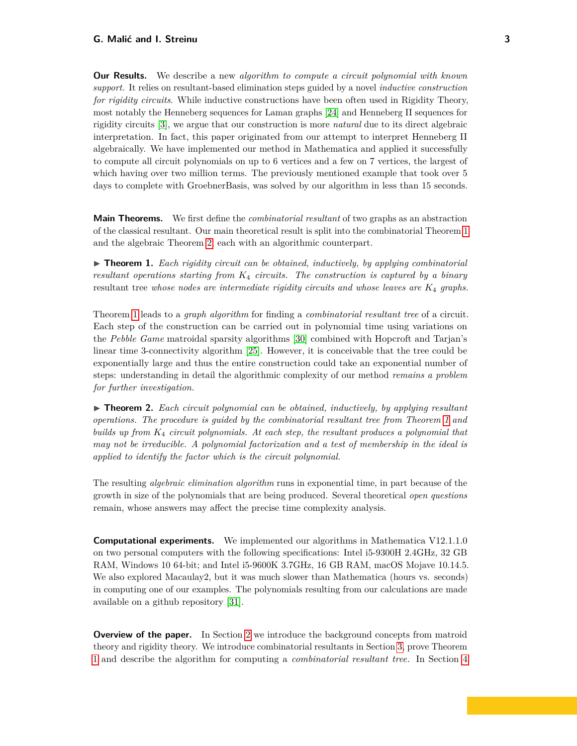**Our Results.** We describe a new *algorithm to compute a circuit polynomial with known support.* It relies on resultant-based elimination steps guided by a novel *inductive construction for rigidity circuits*. While inductive constructions have been often used in Rigidity Theory, most notably the Henneberg sequences for Laman graphs [\[24\]](#page-30-5) and Henneberg II sequences for rigidity circuits [\[3\]](#page-29-4), we argue that our construction is more *natural* due to its direct algebraic interpretation. In fact, this paper originated from our attempt to interpret Henneberg II algebraically. We have implemented our method in Mathematica and applied it successfully to compute all circuit polynomials on up to 6 vertices and a few on 7 vertices, the largest of which having over two million terms. The previously mentioned example that took over 5 days to complete with GroebnerBasis, was solved by our algorithm in less than 15 seconds.

**Main Theorems.** We first define the *combinatorial resultant* of two graphs as an abstraction of the classical resultant. Our main theoretical result is split into the combinatorial Theorem [1](#page-2-0) and the algebraic Theorem [2,](#page-2-1) each with an algorithmic counterpart.

<span id="page-2-0"></span> $\triangleright$  **Theorem 1.** Each rigidity circuit can be obtained, inductively, by applying combinatorial *resultant operations starting from K*<sup>4</sup> *circuits. The construction is captured by a binary* resultant tree *whose nodes are intermediate rigidity circuits and whose leaves are K*<sup>4</sup> *graphs.*

Theorem [1](#page-2-0) leads to a *graph algorithm* for finding a *combinatorial resultant tree* of a circuit. Each step of the construction can be carried out in polynomial time using variations on the *Pebble Game* matroidal sparsity algorithms [\[30\]](#page-30-6) combined with Hopcroft and Tarjan's linear time 3-connectivity algorithm [\[25\]](#page-30-7). However, it is conceivable that the tree could be exponentially large and thus the entire construction could take an exponential number of steps: understanding in detail the algorithmic complexity of our method *remains a problem for further investigation.*

<span id="page-2-1"></span>▶ **Theorem 2.** *Each circuit polynomial can be obtained, inductively, by applying resultant operations. The procedure is guided by the combinatorial resultant tree from Theorem [1](#page-2-0) and builds up from K*<sup>4</sup> *circuit polynomials. At each step, the resultant produces a polynomial that may not be irreducible. A polynomial factorization and a test of membership in the ideal is applied to identify the factor which is the circuit polynomial.*

The resulting *algebraic elimination algorithm* runs in exponential time, in part because of the growth in size of the polynomials that are being produced. Several theoretical *open questions* remain, whose answers may affect the precise time complexity analysis.

**Computational experiments.** We implemented our algorithms in Mathematica V12.1.1.0 on two personal computers with the following specifications: Intel i5-9300H 2.4GHz, 32 GB RAM, Windows 10 64-bit; and Intel i5-9600K 3.7GHz, 16 GB RAM, macOS Mojave 10.14.5. We also explored Macaulay2, but it was much slower than Mathematica (hours vs. seconds) in computing one of our examples. The polynomials resulting from our calculations are made available on a github repository [\[31\]](#page-30-8).

**Overview of the paper.** In Section [2](#page-3-0) we introduce the background concepts from matroid theory and rigidity theory. We introduce combinatorial resultants in Section [3,](#page-6-0) prove Theorem [1](#page-2-0) and describe the algorithm for computing a *combinatorial resultant tree.* In Section [4](#page-10-0)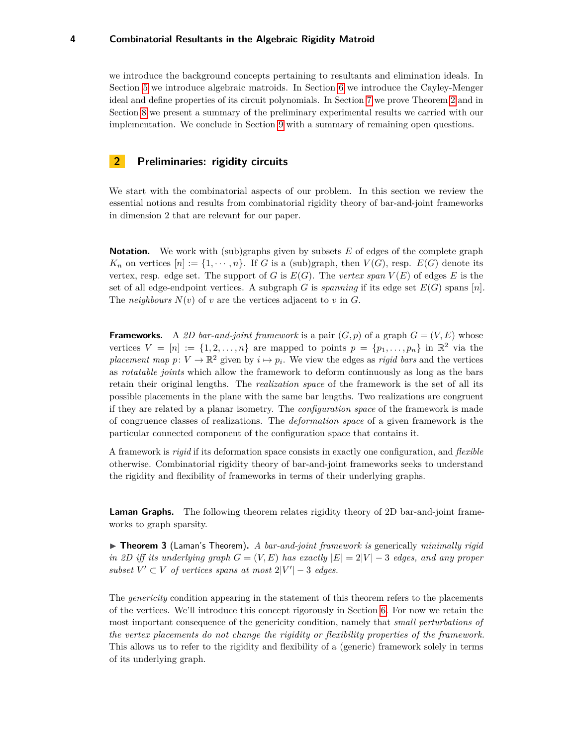we introduce the background concepts pertaining to resultants and elimination ideals. In Section [5](#page-12-0) we introduce algebraic matroids. In Section [6](#page-15-0) we introduce the Cayley-Menger ideal and define properties of its circuit polynomials. In Section [7](#page-19-0) we prove Theorem [2](#page-2-1) and in Section [8](#page-24-0) we present a summary of the preliminary experimental results we carried with our implementation. We conclude in Section [9](#page-27-0) with a summary of remaining open questions.

# <span id="page-3-0"></span>**2 Preliminaries: rigidity circuits**

We start with the combinatorial aspects of our problem. In this section we review the essential notions and results from combinatorial rigidity theory of bar-and-joint frameworks in dimension 2 that are relevant for our paper.

**Notation.** We work with (sub)graphs given by subsets *E* of edges of the complete graph  $K_n$  on vertices  $[n] := \{1, \dots, n\}$ . If *G* is a (sub)graph, then  $V(G)$ , resp.  $E(G)$  denote its vertex, resp. edge set. The support of *G* is  $E(G)$ . The *vertex span*  $V(E)$  of edges *E* is the set of all edge-endpoint vertices. A subgraph *G* is *spanning* if its edge set  $E(G)$  spans [*n*]. The *neighbours*  $N(v)$  of  $v$  are the vertices adjacent to  $v$  in  $G$ .

**Frameworks.** A 2D bar-and-joint framework is a pair  $(G, p)$  of a graph  $G = (V, E)$  whose vertices  $V = [n] := \{1, 2, \ldots, n\}$  are mapped to points  $p = \{p_1, \ldots, p_n\}$  in  $\mathbb{R}^2$  via the *placement map*  $p: V \to \mathbb{R}^2$  given by  $i \mapsto p_i$ . We view the edges as *rigid bars* and the vertices as *rotatable joints* which allow the framework to deform continuously as long as the bars retain their original lengths. The *realization space* of the framework is the set of all its possible placements in the plane with the same bar lengths. Two realizations are congruent if they are related by a planar isometry. The *configuration space* of the framework is made of congruence classes of realizations. The *deformation space* of a given framework is the particular connected component of the configuration space that contains it.

A framework is *rigid* if its deformation space consists in exactly one configuration, and *flexible* otherwise. Combinatorial rigidity theory of bar-and-joint frameworks seeks to understand the rigidity and flexibility of frameworks in terms of their underlying graphs.

**Laman Graphs.** The following theorem relates rigidity theory of 2D bar-and-joint frameworks to graph sparsity.

<span id="page-3-1"></span>▶ **Theorem 3** (Laman's Theorem). A bar-and-joint framework is generically *minimally rigid in 2D iff its underlying graph*  $G = (V, E)$  *has exactly*  $|E| = 2|V| - 3$  *edges, and any proper*  $subset V' \subset V$  *of vertices spans at most*  $2|V'| - 3$  *edges.* 

The *genericity* condition appearing in the statement of this theorem refers to the placements of the vertices. We'll introduce this concept rigorously in Section [6.](#page-15-0) For now we retain the most important consequence of the genericity condition, namely that *small perturbations of the vertex placements do not change the rigidity or flexibility properties of the framework.* This allows us to refer to the rigidity and flexibility of a (generic) framework solely in terms of its underlying graph.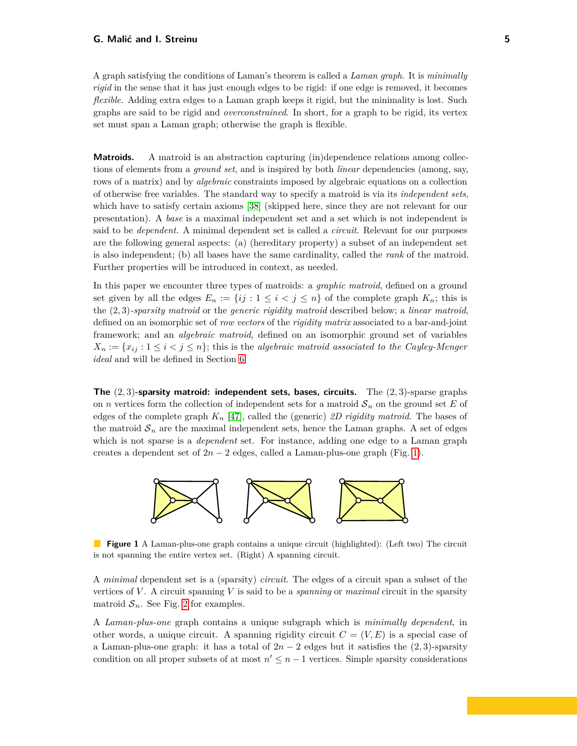A graph satisfying the conditions of Laman's theorem is called a *Laman graph*. It is *minimally rigid* in the sense that it has just enough edges to be rigid: if one edge is removed, it becomes *flexible.* Adding extra edges to a Laman graph keeps it rigid, but the minimality is lost. Such graphs are said to be rigid and *overconstrained*. In short, for a graph to be rigid, its vertex set must span a Laman graph; otherwise the graph is flexible.

**Matroids.** A matroid is an abstraction capturing (in)dependence relations among collections of elements from a *ground set*, and is inspired by both *linear* dependencies (among, say, rows of a matrix) and by *algebraic* constraints imposed by algebraic equations on a collection of otherwise free variables. The standard way to specify a matroid is via its *independent sets*, which have to satisfy certain axioms [\[38\]](#page-30-9) (skipped here, since they are not relevant for our presentation). A *base* is a maximal independent set and a set which is not independent is said to be *dependent*. A minimal dependent set is called a *circuit*. Relevant for our purposes are the following general aspects: (a) (hereditary property) a subset of an independent set is also independent; (b) all bases have the same cardinality, called the *rank* of the matroid. Further properties will be introduced in context, as needed.

In this paper we encounter three types of matroids: a *graphic matroid*, defined on a ground set given by all the edges  $E_n := \{ij : 1 \le i < j \le n\}$  of the complete graph  $K_n$ ; this is the (2*,* 3)*-sparsity matroid* or the *generic rigidity matroid* described below; a *linear matroid*, defined on an isomorphic set of *row vectors* of the *rigidity matrix* associated to a bar-and-joint framework; and an *algebraic matroid*, defined on an isomorphic ground set of variables  $X_n := \{x_{ij} : 1 \leq i < j \leq n\}$ ; this is the *algebraic matroid associated to the Cayley-Menger ideal* and will be defined in Section [6.](#page-15-0)

**The** (2*,* 3)**-sparsity matroid: independent sets, bases, circuits.** The (2*,* 3)-sparse graphs on *n* vertices form the collection of independent sets for a matroid  $S_n$  on the ground set E of edges of the complete graph *K<sup>n</sup>* [\[47\]](#page-31-1), called the (generic) *2D rigidity matroid*. The bases of the matroid  $S_n$  are the maximal independent sets, hence the Laman graphs. A set of edges which is not sparse is a *dependent* set. For instance, adding one edge to a Laman graph creates a dependent set of  $2n - 2$  edges, called a Laman-plus-one graph (Fig. [1\)](#page-4-0).

<span id="page-4-0"></span>

**Figure 1** A Laman-plus-one graph contains a unique circuit (highlighted): (Left two) The circuit is not spanning the entire vertex set. (Right) A spanning circuit.

A *minimal* dependent set is a (sparsity) *circuit*. The edges of a circuit span a subset of the vertices of *V* . A circuit spanning *V* is said to be a *spanning* or *maximal* circuit in the sparsity matroid  $S_n$ . See Fig. [2](#page-5-0) for examples.

A *Laman-plus-one* graph contains a unique subgraph which is *minimally dependent*, in other words, a unique circuit. A spanning rigidity circuit  $C = (V, E)$  is a special case of a Laman-plus-one graph: it has a total of  $2n - 2$  edges but it satisfies the  $(2, 3)$ -sparsity condition on all proper subsets of at most  $n' \leq n-1$  vertices. Simple sparsity considerations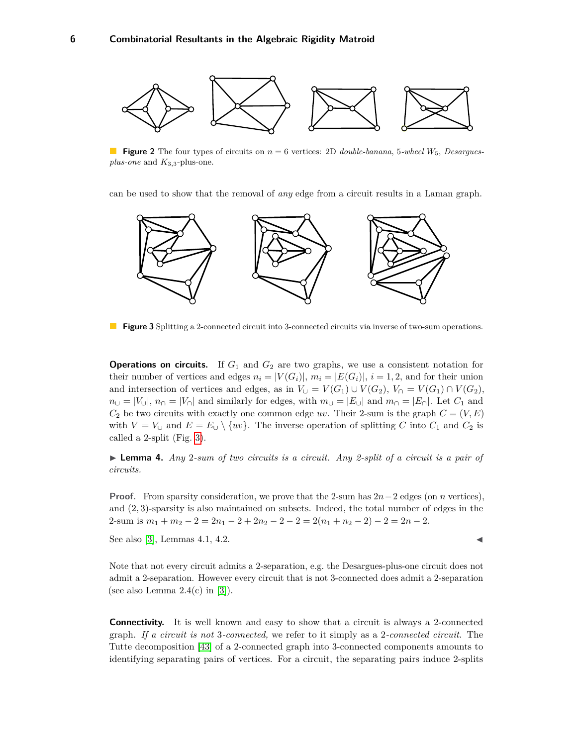<span id="page-5-0"></span>

**Figure 2** The four types of circuits on  $n = 6$  vertices: 2D *double-banana*, 5-wheel  $W_5$ , *Desarguesplus-one* and *K*3*,*3-plus-one.

can be used to show that the removal of *any* edge from a circuit results in a Laman graph.

<span id="page-5-1"></span>

**Figure 3** Splitting a 2-connected circuit into 3-connected circuits via inverse of two-sum operations.

**Operations on circuits.** If  $G_1$  and  $G_2$  are two graphs, we use a consistent notation for their number of vertices and edges  $n_i = |V(G_i)|$ ,  $m_i = |E(G_i)|$ ,  $i = 1, 2$ , and for their union and intersection of vertices and edges, as in  $V_{\cup} = V(G_1) \cup V(G_2)$ ,  $V_{\cap} = V(G_1) \cap V(G_2)$ ,  $n_{\cup} = |V_{\cup}|$ ,  $n_{\cap} = |V_{\cap}|$  and similarly for edges, with  $m_{\cup} = |E_{\cup}|$  and  $m_{\cap} = |E_{\cap}|$ . Let  $C_1$  and  $C_2$  be two circuits with exactly one common edge *uv*. Their 2-sum is the graph  $C = (V, E)$ with  $V = V_{\cup}$  and  $E = E_{\cup} \setminus \{uv\}$ . The inverse operation of splitting *C* into  $C_1$  and  $C_2$  is called a 2-split (Fig. [3\)](#page-5-1).

**Lemma 4.** *Any* 2-sum of two circuits is a circuit. Any 2-split of a circuit is a pair of *circuits.*

**Proof.** From sparsity consideration, we prove that the 2-sum has 2*n*−2 edges (on *n* vertices), and (2*,* 3)-sparsity is also maintained on subsets. Indeed, the total number of edges in the 2-sum is  $m_1 + m_2 - 2 = 2n_1 - 2 + 2n_2 - 2 - 2 = 2(n_1 + n_2 - 2) - 2 = 2n - 2$ .

See also [\[3\]](#page-29-4), Lemmas 4.1, 4.2.

Note that not every circuit admits a 2-separation, e.g. the Desargues-plus-one circuit does not admit a 2-separation. However every circuit that is not 3-connected does admit a 2-separation (see also Lemma  $2.4(c)$  in [\[3\]](#page-29-4)).

**Connectivity.** It is well known and easy to show that a circuit is always a 2-connected graph. *If a circuit is not* 3*-connected,* we refer to it simply as a 2*-connected circuit*. The Tutte decomposition [\[43\]](#page-30-10) of a 2-connected graph into 3-connected components amounts to identifying separating pairs of vertices. For a circuit, the separating pairs induce 2-splits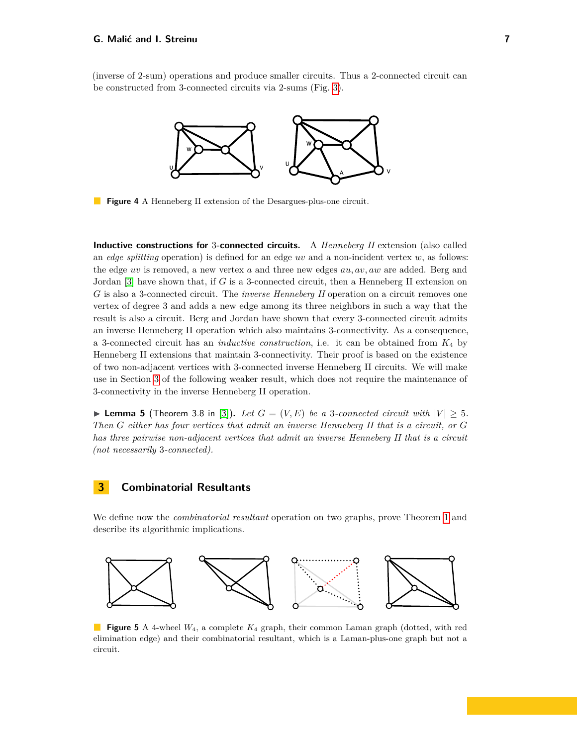(inverse of 2-sum) operations and produce smaller circuits. Thus a 2-connected circuit can be constructed from 3-connected circuits via 2-sums (Fig. [3\)](#page-5-1).



**Figure 4** A Henneberg II extension of the Desargues-plus-one circuit.

**Inductive constructions for** 3**-connected circuits.** A *Henneberg II* extension (also called an *edge splitting* operation) is defined for an edge *uv* and a non-incident vertex *w*, as follows: the edge *uv* is removed, a new vertex *a* and three new edges *au, av, aw* are added. Berg and Jordan [\[3\]](#page-29-4) have shown that, if *G* is a 3-connected circuit, then a Henneberg II extension on *G* is also a 3-connected circuit. The *inverse Henneberg II* operation on a circuit removes one vertex of degree 3 and adds a new edge among its three neighbors in such a way that the result is also a circuit. Berg and Jordan have shown that every 3-connected circuit admits an inverse Henneberg II operation which also maintains 3-connectivity. As a consequence, a 3-connected circuit has an *inductive construction*, i.e. it can be obtained from *K*<sup>4</sup> by Henneberg II extensions that maintain 3-connectivity. Their proof is based on the existence of two non-adjacent vertices with 3-connected inverse Henneberg II circuits. We will make use in Section [3](#page-6-0) of the following weaker result, which does not require the maintenance of 3-connectivity in the inverse Henneberg II operation.

<span id="page-6-2"></span>**Lemma 5** (Theorem 3.8 in [\[3\]](#page-29-4)). Let  $G = (V, E)$  be a 3-connected circuit with  $|V| \geq 5$ . *Then G either has four vertices that admit an inverse Henneberg II that is a circuit, or G has three pairwise non-adjacent vertices that admit an inverse Henneberg II that is a circuit (not necessarily* 3*-connected).*

## <span id="page-6-0"></span>**3 Combinatorial Resultants**

We define now the *combinatorial resultant* operation on two graphs, prove Theorem [1](#page-2-0) and describe its algorithmic implications.

<span id="page-6-1"></span>

 $\mathbf{L}$ **Figure 5** A 4-wheel *W*4, a complete *K*<sup>4</sup> graph, their common Laman graph (dotted, with red elimination edge) and their combinatorial resultant, which is a Laman-plus-one graph but not a circuit.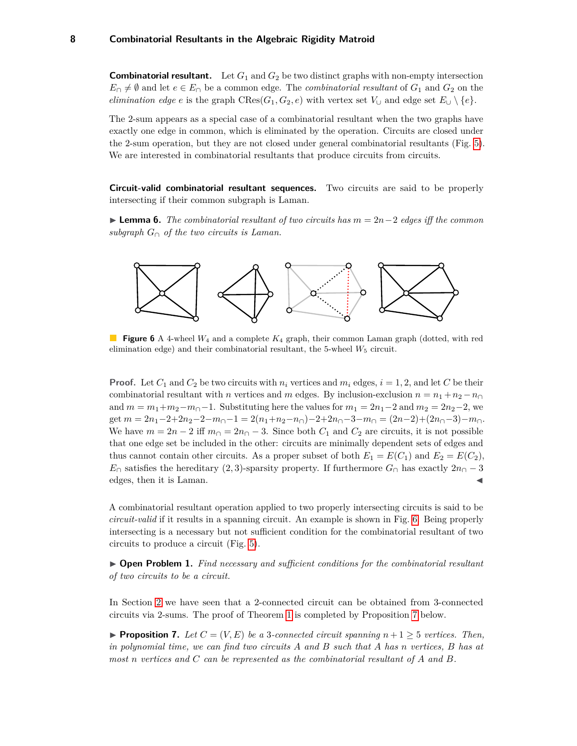**Combinatorial resultant.** Let  $G_1$  and  $G_2$  be two distinct graphs with non-empty intersection  $E_{\cap} \neq \emptyset$  and let  $e \in E_{\cap}$  be a common edge. The *combinatorial resultant* of  $G_1$  and  $G_2$  on the *elimination edge e* is the graph CRes( $G_1, G_2, e$ ) with vertex set  $V_{\cup}$  and edge set  $E_{\cup} \setminus \{e\}.$ 

The 2-sum appears as a special case of a combinatorial resultant when the two graphs have exactly one edge in common, which is eliminated by the operation. Circuits are closed under the 2-sum operation, but they are not closed under general combinatorial resultants (Fig. [5\)](#page-6-1). We are interested in combinatorial resultants that produce circuits from circuits.

**Circuit-valid combinatorial resultant sequences.** Two circuits are said to be properly intersecting if their common subgraph is Laman.

I **Lemma 6.** *The combinatorial resultant of two circuits has m* = 2*n*−2 *edges iff the common subgraph G*<sup>∩</sup> *of the two circuits is Laman.*

<span id="page-7-0"></span>

**Figure 6** A 4-wheel *W*<sup>4</sup> and a complete *K*<sup>4</sup> graph, their common Laman graph (dotted, with red elimination edge) and their combinatorial resultant, the 5-wheel  $W_5$  circuit.

**Proof.** Let  $C_1$  and  $C_2$  be two circuits with  $n_i$  vertices and  $m_i$  edges,  $i = 1, 2$ , and let *C* be their combinatorial resultant with *n* vertices and *m* edges. By inclusion-exclusion  $n = n_1 + n_2 - n_0$ and  $m = m_1 + m_2 - m_0 - 1$ . Substituting here the values for  $m_1 = 2n_1 - 2$  and  $m_2 = 2n_2 - 2$ , we  $\det m = 2n_1 - 2 + 2n_2 - 2 - m_0 - 1 = 2(n_1 + n_2 - n_0) - 2 + 2n_0 - 3 - m_0 = (2n - 2) + (2n_0 - 3) - m_0.$ We have  $m = 2n - 2$  iff  $m_{\Omega} = 2n_{\Omega} - 3$ . Since both  $C_1$  and  $C_2$  are circuits, it is not possible that one edge set be included in the other: circuits are minimally dependent sets of edges and thus cannot contain other circuits. As a proper subset of both  $E_1 = E(C_1)$  and  $E_2 = E(C_2)$ ,  $E_{\cap}$  satisfies the hereditary (2, 3)-sparsity property. If furthermore  $G_{\cap}$  has exactly  $2n_{\cap}-3$ edges, then it is Laman.

A combinatorial resultant operation applied to two properly intersecting circuits is said to be *circuit-valid* if it results in a spanning circuit. An example is shown in Fig. [6.](#page-7-0) Being properly intersecting is a necessary but not sufficient condition for the combinatorial resultant of two circuits to produce a circuit (Fig. [5\)](#page-6-1).

▶ **Open Problem 1.** Find necessary and sufficient conditions for the combinatorial resultant *of two circuits to be a circuit.*

In Section [2](#page-3-0) we have seen that a 2-connected circuit can be obtained from 3-connected circuits via 2-sums. The proof of Theorem [1](#page-2-0) is completed by Proposition [7](#page-7-1) below.

<span id="page-7-1"></span>**Proposition 7.** Let  $C = (V, E)$  be a 3-connected circuit spanning  $n + 1 \geq 5$  vertices. Then, *in polynomial time, we can find two circuits A and B such that A has n vertices, B has at most n vertices and C can be represented as the combinatorial resultant of A and B.*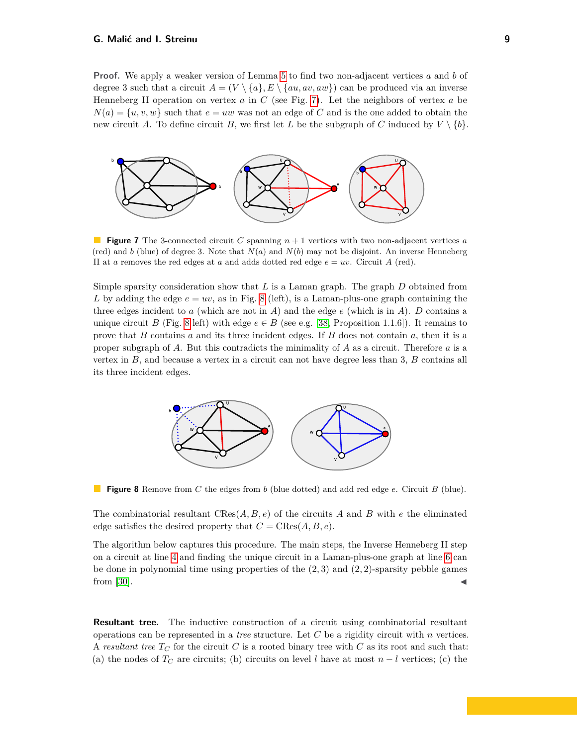**Proof.** We apply a weaker version of Lemma [5](#page-6-2) to find two non-adjacent vertices *a* and *b* of degree 3 such that a circuit  $A = (V \setminus \{a\}, E \setminus \{au, av, aw\})$  can be produced via an inverse Henneberg II operation on vertex *a* in *C* (see Fig. [7\)](#page-8-0). Let the neighbors of vertex *a* be  $N(a) = \{u, v, w\}$  such that  $e = uw$  was not an edge of *C* and is the one added to obtain the new circuit *A*. To define circuit *B*, we first let *L* be the subgraph of *C* induced by  $V \setminus \{b\}$ .

<span id="page-8-0"></span>

**Figure 7** The 3-connected circuit *C* spanning *n* + 1 vertices with two non-adjacent vertices *a* (red) and *b* (blue) of degree 3. Note that  $N(a)$  and  $N(b)$  may not be disjoint. An inverse Henneberg II at *a* removes the red edges at *a* and adds dotted red edge  $e = uv$ . Circuit *A* (red).

Simple sparsity consideration show that *L* is a Laman graph. The graph *D* obtained from *L* by adding the edge  $e = uv$ , as in Fig. [8](#page-8-1) (left), is a Laman-plus-one graph containing the three edges incident to  $a$  (which are not in  $A$ ) and the edge  $e$  (which is in  $A$ ).  $D$  contains a unique circuit *B* (Fig. [8](#page-8-1) left) with edge  $e \in B$  (see e.g. [\[38,](#page-30-9) Proposition 1.1.6]). It remains to prove that *B* contains *a* and its three incident edges. If *B* does not contain *a*, then it is a proper subgraph of *A*. But this contradicts the minimality of *A* as a circuit. Therefore *a* is a vertex in *B*, and because a vertex in a circuit can not have degree less than 3, *B* contains all its three incident edges.

<span id="page-8-1"></span>

**Figure 8** Remove from *C* the edges from *b* (blue dotted) and add red edge *e*. Circuit *B* (blue).

The combinatorial resultant CRes(*A, B, e*) of the circuits *A* and *B* with *e* the eliminated edge satisfies the desired property that  $C = \text{CRes}(A, B, e)$ .

The algorithm below captures this procedure. The main steps, the Inverse Henneberg II step on a circuit at line [4](#page-9-0) and finding the unique circuit in a Laman-plus-one graph at line [6](#page-9-0) can be done in polynomial time using properties of the (2*,* 3) and (2*,* 2)-sparsity pebble games from [\[30\]](#page-30-6).

**Resultant tree.** The inductive construction of a circuit using combinatorial resultant operations can be represented in a *tree* structure. Let *C* be a rigidity circuit with *n* vertices. A *resultant tree*  $T_C$  for the circuit  $C$  is a rooted binary tree with  $C$  as its root and such that: (a) the nodes of  $T_C$  are circuits; (b) circuits on level *l* have at most  $n - l$  vertices; (c) the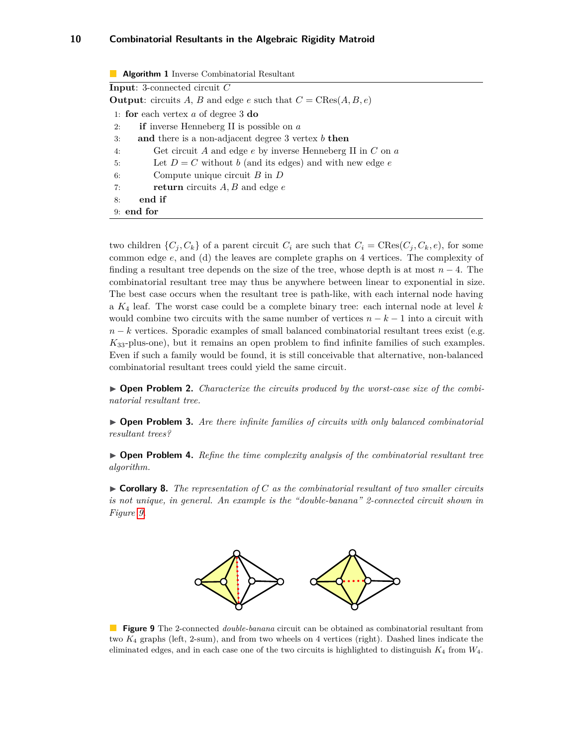<span id="page-9-0"></span>

| Algorithm 1 Inverse Combinatorial Resultant                                  |  |  |  |  |  |
|------------------------------------------------------------------------------|--|--|--|--|--|
| <b>Input:</b> 3-connected circuit $C$                                        |  |  |  |  |  |
| <b>Output:</b> circuits A, B and edge e such that $C = \text{CRes}(A, B, e)$ |  |  |  |  |  |
| 1: for each vertex $a$ of degree 3 do                                        |  |  |  |  |  |
| <b>if</b> inverse Henneberg II is possible on $a$<br>2:                      |  |  |  |  |  |
| and there is a non-adjacent degree 3 vertex $b$ then<br>3:                   |  |  |  |  |  |
| Get circuit A and edge $e$ by inverse Henneberg II in $C$ on $a$<br>4:       |  |  |  |  |  |
| Let $D = C$ without b (and its edges) and with new edge e<br>5:              |  |  |  |  |  |
| Compute unique circuit $B$ in $D$<br>6:                                      |  |  |  |  |  |
| <b>return</b> circuits $A, B$ and edge $e$<br>7:                             |  |  |  |  |  |
| end if<br>8:                                                                 |  |  |  |  |  |
| $9:$ end for                                                                 |  |  |  |  |  |
|                                                                              |  |  |  |  |  |

two children  $\{C_j, C_k\}$  of a parent circuit  $C_i$  are such that  $C_i = \text{CRes}(C_j, C_k, e)$ , for some common edge *e*, and (d) the leaves are complete graphs on 4 vertices. The complexity of finding a resultant tree depends on the size of the tree, whose depth is at most *n* − 4. The combinatorial resultant tree may thus be anywhere between linear to exponential in size. The best case occurs when the resultant tree is path-like, with each internal node having a *K*<sup>4</sup> leaf. The worst case could be a complete binary tree: each internal node at level *k* would combine two circuits with the same number of vertices  $n - k - 1$  into a circuit with *n* − *k* vertices. Sporadic examples of small balanced combinatorial resultant trees exist (e.g. *K*33-plus-one), but it remains an open problem to find infinite families of such examples. Even if such a family would be found, it is still conceivable that alternative, non-balanced combinatorial resultant trees could yield the same circuit.

▶ **Open Problem 2.** *Characterize the circuits produced by the worst-case size of the combinatorial resultant tree.*

▶ **Open Problem 3.** *Are there infinite families of circuits with only balanced combinatorial resultant trees?*

▶ **Open Problem 4.** Refine the time complexity analysis of the combinatorial resultant tree *algorithm.*

<span id="page-9-2"></span><span id="page-9-1"></span> $\triangleright$  **Corollary 8.** The representation of C as the combinatorial resultant of two smaller circuits *is not unique, in general. An example is the "double-banana" 2-connected circuit shown in Figure [9.](#page-9-1)*



**Figure 9** The 2-connected *double-banana* circuit can be obtained as combinatorial resultant from two *K*<sup>4</sup> graphs (left, 2-sum), and from two wheels on 4 vertices (right). Dashed lines indicate the eliminated edges, and in each case one of the two circuits is highlighted to distinguish *K*<sup>4</sup> from *W*4.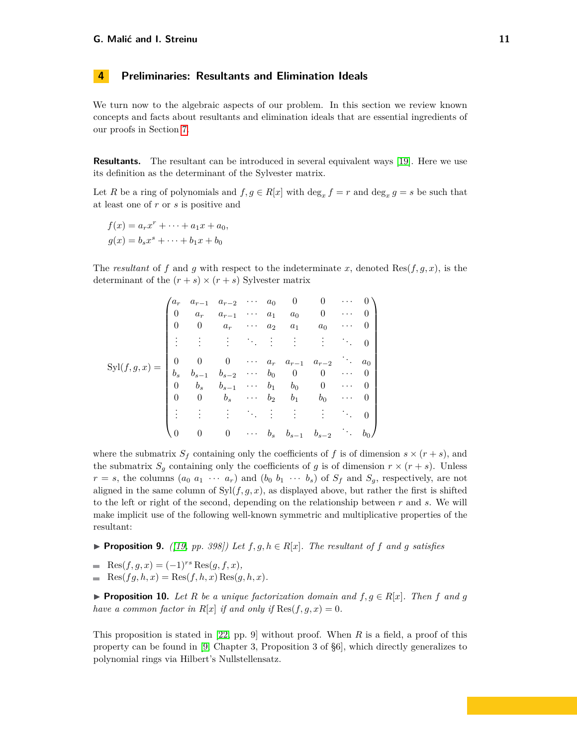## <span id="page-10-0"></span>**4 Preliminaries: Resultants and Elimination Ideals**

We turn now to the algebraic aspects of our problem. In this section we review known concepts and facts about resultants and elimination ideals that are essential ingredients of our proofs in Section [7.](#page-19-0)

**Resultants.** The resultant can be introduced in several equivalent ways [\[19\]](#page-29-5). Here we use its definition as the determinant of the Sylvester matrix.

Let *R* be a ring of polynomials and  $f, g \in R[x]$  with  $\deg_x f = r$  and  $\deg_x g = s$  be such that at least one of *r* or *s* is positive and

$$
f(x) = a_rx^r + \dots + a_1x + a_0,
$$
  

$$
g(x) = b_sx^s + \dots + b_1x + b_0
$$

The *resultant* of f and g with respect to the indeterminate x, denoted Res $(f, g, x)$ , is the determinant of the  $(r + s) \times (r + s)$  Sylvester matrix

$$
\text{Syl}(f,g,x) = \begin{pmatrix} a_r & a_{r-1} & a_{r-2} & \cdots & a_0 & 0 & 0 & \cdots & 0 \\ 0 & a_r & a_{r-1} & \cdots & a_1 & a_0 & 0 & \cdots & 0 \\ 0 & 0 & a_r & \cdots & a_2 & a_1 & a_0 & \cdots & 0 \\ \vdots & \vdots & \vdots & \ddots & \vdots & \vdots & \vdots & \ddots & 0 \\ 0 & 0 & 0 & \cdots & a_r & a_{r-1} & a_{r-2} & \cdots & a_0 \\ b_s & b_{s-1} & b_{s-2} & \cdots & b_0 & 0 & 0 & \cdots & 0 \\ 0 & b_s & b_{s-1} & \cdots & b_1 & b_0 & 0 & \cdots & 0 \\ 0 & 0 & b_s & \cdots & b_2 & b_1 & b_0 & \cdots & 0 \\ \vdots & \vdots & \vdots & \ddots & \vdots & \vdots & \vdots & \ddots & 0 \\ 0 & 0 & 0 & \cdots & b_s & b_{s-1} & b_{s-2} & \cdots & b_0 \end{pmatrix}
$$

where the submatrix  $S_f$  containing only the coefficients of f is of dimension  $s \times (r + s)$ , and the submatrix  $S_g$  containing only the coefficients of *g* is of dimension  $r \times (r + s)$ . Unless  $r = s$ , the columns  $(a_0 a_1 \cdots a_r)$  and  $(b_0 b_1 \cdots b_s)$  of  $S_f$  and  $S_g$ , respectively, are not aligned in the same column of  $Syl(f, g, x)$ , as displayed above, but rather the first is shifted to the left or right of the second, depending on the relationship between *r* and *s*. We will make implicit use of the following well-known symmetric and multiplicative properties of the resultant:

- <span id="page-10-2"></span>▶ **Proposition 9.** *(* $[19, pp. 398]$  $[19, pp. 398]$ ) Let  $f, g, h \in R[x]$ . The resultant of  $f$  and  $g$  satisfies
- $\text{Res}(f, g, x) = (-1)^{rs} \text{Res}(g, f, x),$
- $\text{Res}(fg, h, x) = \text{Res}(f, h, x) \text{Res}(g, h, x).$

<span id="page-10-1"></span>**Proposition 10.** Let R be a unique factorization domain and  $f, g \in R[x]$ . Then f and g *have a common factor in*  $R[x]$  *if and only if*  $\text{Res}(f, g, x) = 0$ *.* 

This proposition is stated in [\[22,](#page-29-6) pp. 9] without proof. When *R* is a field, a proof of this property can be found in [\[9,](#page-29-7) Chapter 3, Proposition 3 of §6], which directly generalizes to polynomial rings via Hilbert's Nullstellensatz.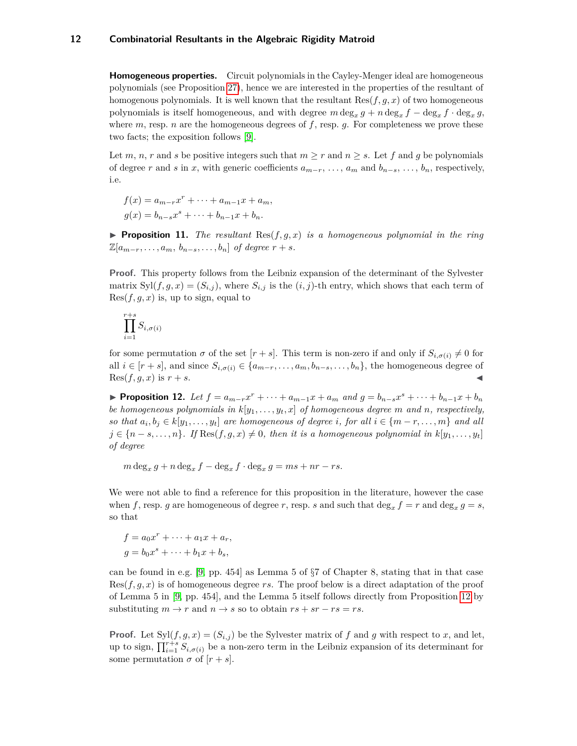**Homogeneous properties.** Circuit polynomials in the Cayley-Menger ideal are homogeneous polynomials (see Proposition [27\)](#page-18-0), hence we are interested in the properties of the resultant of homogenous polynomials. It is well known that the resultant  $\text{Res}(f, g, x)$  of two homogeneous polynomials is itself homogeneous, and with degree  $m \deg_x g + n \deg_x f - \deg_x f \cdot \deg_x g$ , where  $m$ , resp.  $n$  are the homogeneous degrees of  $f$ , resp.  $g$ . For completeness we prove these two facts; the exposition follows [\[9\]](#page-29-7).

Let *m*, *n*, *r* and *s* be positive integers such that  $m \geq r$  and  $n \geq s$ . Let *f* and *g* be polynomials of degree *r* and *s* in *x*, with generic coefficients  $a_{m-r}, \ldots, a_m$  and  $b_{n-s}, \ldots, b_n$ , respectively, i.e.

$$
f(x) = a_{m-r}x^{r} + \dots + a_{m-1}x + a_{m},
$$
  

$$
g(x) = b_{n-s}x^{s} + \dots + b_{n-1}x + b_{n}.
$$

**Proposition 11.** The resultant  $\text{Res}(f,g,x)$  is a homogeneous polynomial in the ring  $\mathbb{Z}[a_{m-r}, \ldots, a_m, b_{n-s}, \ldots, b_n]$  *of degree*  $r+s$ *.* 

**Proof.** This property follows from the Leibniz expansion of the determinant of the Sylvester matrix  $Syl(f, g, x) = (S_{i,j})$ , where  $S_{i,j}$  is the  $(i, j)$ -th entry, which shows that each term of  $Res(f, g, x)$  is, up to sign, equal to

$$
\prod_{i=1}^{r+s} S_{i,\sigma(i)}
$$

for some permutation  $\sigma$  of the set  $[r + s]$ . This term is non-zero if and only if  $S_{i, \sigma(i)} \neq 0$  for all  $i \in [r + s]$ , and since  $S_{i, \sigma(i)} \in \{a_{m-r}, \ldots, a_m, b_{n-s}, \ldots, b_n\}$ , the homogeneous degree of  $Res(f, g, x)$  is  $r + s$ .

<span id="page-11-0"></span>► Proposition 12. Let  $f = a_{m-r}x^r + \cdots + a_{m-1}x + a_m$  and  $g = b_{n-s}x^s + \cdots + b_{n-1}x + b_n$ *be homogeneous polynomials in k*[*y*1*, . . . , yt, x*] *of homogeneous degree m and n, respectively, so that*  $a_i, b_j \in k[y_1, \ldots, y_t]$  *are homogeneous of degree i, for all*  $i \in \{m-r, \ldots, m\}$  *and all*  $j \in \{n-s,\ldots,n\}$ *. If* Res $(f,g,x) \neq 0$ *, then it is a homogeneous polynomial in*  $k[y_1,\ldots,y_t]$ *of degree*

 $m \deg_x g + n \deg_x f - \deg_x f \cdot \deg_x g = ms + nr - rs.$ 

We were not able to find a reference for this proposition in the literature, however the case when *f*, resp. *g* are homogeneous of degree *r*, resp. *s* and such that  $\deg_x f = r$  and  $\deg_x g = s$ , so that

$$
f = a_0 x^r + \dots + a_1 x + a_r,
$$
  
\n
$$
g = b_0 x^s + \dots + b_1 x + b_s,
$$

can be found in e.g. [\[9,](#page-29-7) pp. 454] as Lemma 5 of §7 of Chapter 8, stating that in that case  $Res(f, g, x)$  is of homogeneous degree *rs*. The proof below is a direct adaptation of the proof of Lemma 5 in [\[9,](#page-29-7) pp. 454], and the Lemma 5 itself follows directly from Proposition [12](#page-11-0) by substituting  $m \to r$  and  $n \to s$  so to obtain  $rs + sr - rs = rs$ .

**Proof.** Let  $Syl(f, g, x) = (S_{i,j})$  be the Sylvester matrix of f and g with respect to x, and let, up to sign,  $\prod_{i=1}^{r+s} S_{i,\sigma(i)}$  be a non-zero term in the Leibniz expansion of its determinant for some permutation  $\sigma$  of  $[r + s]$ .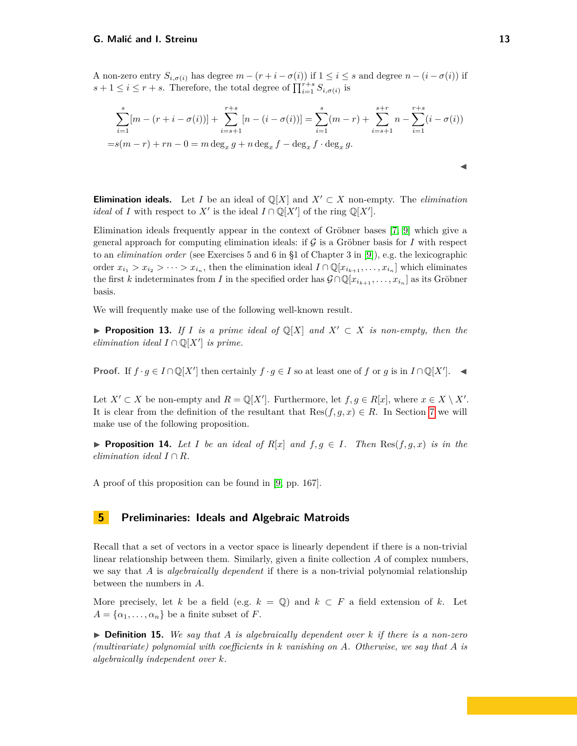A non-zero entry  $S_{i,\sigma(i)}$  has degree  $m - (r + i - \sigma(i))$  if  $1 \leq i \leq s$  and degree  $n - (i - \sigma(i))$  if  $s + 1 \leq i \leq r + s$ . Therefore, the total degree of  $\prod_{i=1}^{r+s} S_{i,\sigma(i)}$  is

$$
\sum_{i=1}^{s} [m - (r + i - \sigma(i))] + \sum_{i=s+1}^{r+s} [n - (i - \sigma(i))] = \sum_{i=1}^{s} (m - r) + \sum_{i=s+1}^{s+r} n - \sum_{i=1}^{r+s} (i - \sigma(i))
$$
  
=s(m - r) + rn - 0 = m deg<sub>x</sub> g + n deg<sub>x</sub> f - deg<sub>x</sub> f · deg<sub>x</sub> g.

**Elimination ideals.** Let *I* be an ideal of  $\mathbb{Q}[X]$  and  $X' \subset X$  non-empty. The *elimination ideal* of *I* with respect to  $X'$  is the ideal  $I \cap \mathbb{Q}[X']$  of the ring  $\mathbb{Q}[X']$ .

Elimination ideals frequently appear in the context of Gröbner bases [\[7,](#page-29-8) [9\]](#page-29-7) which give a general approach for computing elimination ideals: if  $\mathcal G$  is a Gröbner basis for *I* with respect to an *elimination order* (see Exercises 5 and 6 in §1 of Chapter 3 in [\[9\]](#page-29-7)), e.g. the lexicographic order  $x_{i_1} > x_{i_2} > \cdots > x_{i_n}$ , then the elimination ideal  $I \cap \mathbb{Q}[x_{i_{k+1}}, \ldots, x_{i_n}]$  which eliminates the first *k* indeterminates from *I* in the specified order has  $\mathcal{G} \cap \mathbb{Q}[x_{i_{k+1}}, \ldots, x_{i_n}]$  as its Gröbner basis.

We will frequently make use of the following well-known result.

**► Proposition 13.** If *I* is a prime ideal of  $\mathbb{Q}[X]$  and  $X' \subset X$  is non-empty, then the *elimination ideal*  $I \cap \mathbb{Q}[X']$  *is prime.* 

**Proof.** If  $f \cdot g \in I \cap \mathbb{Q}[X']$  then certainly  $f \cdot g \in I$  so at least one of  $f$  or  $g$  is in  $I \cap \mathbb{Q}[X']$ .

Let  $X' \subset X$  be non-empty and  $R = \mathbb{Q}[X']$ . Furthermore, let  $f, g \in R[x]$ , where  $x \in X \setminus X'$ . It is clear from the definition of the resultant that  $\text{Res}(f,g,x) \in R$ . In Section [7](#page-19-0) we will make use of the following proposition.

<span id="page-12-1"></span>**Proposition 14.** Let I be an ideal of  $R[x]$  and  $f, g \in I$ . Then  $\text{Res}(f, g, x)$  is in the *elimination ideal*  $I \cap R$ *.* 

A proof of this proposition can be found in [\[9,](#page-29-7) pp. 167].

## <span id="page-12-0"></span>**5 Preliminaries: Ideals and Algebraic Matroids**

Recall that a set of vectors in a vector space is linearly dependent if there is a non-trivial linear relationship between them. Similarly, given a finite collection *A* of complex numbers, we say that *A* is *algebraically dependent* if there is a non-trivial polynomial relationship between the numbers in *A*.

More precisely, let *k* be a field (e.g.  $k = \mathbb{Q}$ ) and  $k \subset F$  a field extension of *k*. Let  $A = {\alpha_1, \ldots, \alpha_n}$  be a finite subset of *F*.

 $\triangleright$  **Definition 15.** We say that A is algebraically dependent over k if there is a non-zero *(multivariate) polynomial with coefficients in k vanishing on A. Otherwise, we say that A is algebraically independent over k.*

 $\blacktriangleleft$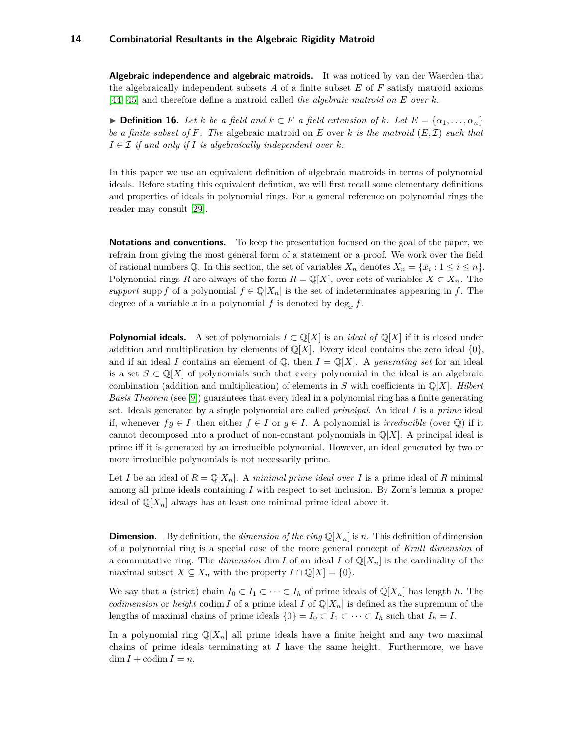**Algebraic independence and algebraic matroids.** It was noticed by van der Waerden that the algebraically independent subsets *A* of a finite subset *E* of *F* satisfy matroid axioms [\[44,](#page-30-11) [45\]](#page-30-12) and therefore define a matroid called *the algebraic matroid on E over k*.

<span id="page-13-0"></span>**► Definition 16.** Let *k* be a field and  $k \subset F$  a field extension of *k*. Let  $E = \{\alpha_1, \ldots, \alpha_n\}$ *be a finite subset of F. The* algebraic matroid on *E* over *k is the matroid* (*E,* I) *such that*  $I \in \mathcal{I}$  *if and only if I is algebraically independent over*  $k$ *.* 

In this paper we use an equivalent definition of algebraic matroids in terms of polynomial ideals. Before stating this equivalent defintion, we will first recall some elementary definitions and properties of ideals in polynomial rings. For a general reference on polynomial rings the reader may consult [\[29\]](#page-30-13).

**Notations and conventions.** To keep the presentation focused on the goal of the paper, we refrain from giving the most general form of a statement or a proof. We work over the field of rational numbers  $\mathbb{Q}$ . In this section, the set of variables  $X_n$  denotes  $X_n = \{x_i : 1 \le i \le n\}$ . Polynomial rings *R* are always of the form  $R = \mathbb{Q}[X]$ , over sets of variables  $X \subset X_n$ . The *support* supp *f* of a polynomial  $f \in \mathbb{Q}[X_n]$  is the set of indeterminates appearing in *f*. The degree of a variable x in a polynomial  $f$  is denoted by  $\deg_x f$ .

**Polynomial ideals.** A set of polynomials  $I \subset \mathbb{Q}[X]$  is an *ideal of*  $\mathbb{Q}[X]$  if it is closed under addition and multiplication by elements of  $\mathbb{Q}[X]$ . Every ideal contains the zero ideal  $\{0\}$ , and if an ideal *I* contains an element of  $\mathbb{Q}$ , then  $I = \mathbb{Q}[X]$ . A *generating set* for an ideal is a set  $S \subset \mathbb{Q}[X]$  of polynomials such that every polynomial in the ideal is an algebraic combination (addition and multiplication) of elements in  $S$  with coefficients in  $\mathbb{Q}[X]$ . *Hilbert Basis Theorem* (see [\[9\]](#page-29-7)) guarantees that every ideal in a polynomial ring has a finite generating set. Ideals generated by a single polynomial are called *principal*. An ideal *I* is a *prime* ideal if, whenever  $fg \in I$ , then either  $f \in I$  or  $g \in I$ . A polynomial is *irreducible* (over  $\mathbb{Q}$ ) if it cannot decomposed into a product of non-constant polynomials in  $\mathbb{Q}[X]$ . A principal ideal is prime iff it is generated by an irreducible polynomial. However, an ideal generated by two or more irreducible polynomials is not necessarily prime.

Let *I* be an ideal of  $R = \mathbb{Q}[X_n]$ . A *minimal prime ideal over I* is a prime ideal of *R* minimal among all prime ideals containing *I* with respect to set inclusion. By Zorn's lemma a proper ideal of  $\mathbb{Q}[X_n]$  always has at least one minimal prime ideal above it.

**Dimension.** By definition, the *dimension of the ring*  $\mathbb{Q}[X_n]$  is *n*. This definition of dimension of a polynomial ring is a special case of the more general concept of *Krull dimension* of a commutative ring. The *dimension* dim *I* of an ideal *I* of  $\mathbb{Q}[X_n]$  is the cardinality of the maximal subset  $X \subseteq X_n$  with the property  $I \cap \mathbb{Q}[X] = \{0\}.$ 

We say that a (strict) chain  $I_0 \subset I_1 \subset \cdots \subset I_h$  of prime ideals of  $\mathbb{Q}[X_n]$  has length *h*. The *codimension* or *height* codim *I* of a prime ideal *I* of  $\mathbb{Q}[X_n]$  is defined as the supremum of the lengths of maximal chains of prime ideals  $\{0\} = I_0 \subset I_1 \subset \cdots \subset I_h$  such that  $I_h = I$ .

In a polynomial ring  $\mathbb{Q}[X_n]$  all prime ideals have a finite height and any two maximal chains of prime ideals terminating at *I* have the same height. Furthermore, we have  $\dim I + \operatorname{codim} I = n$ .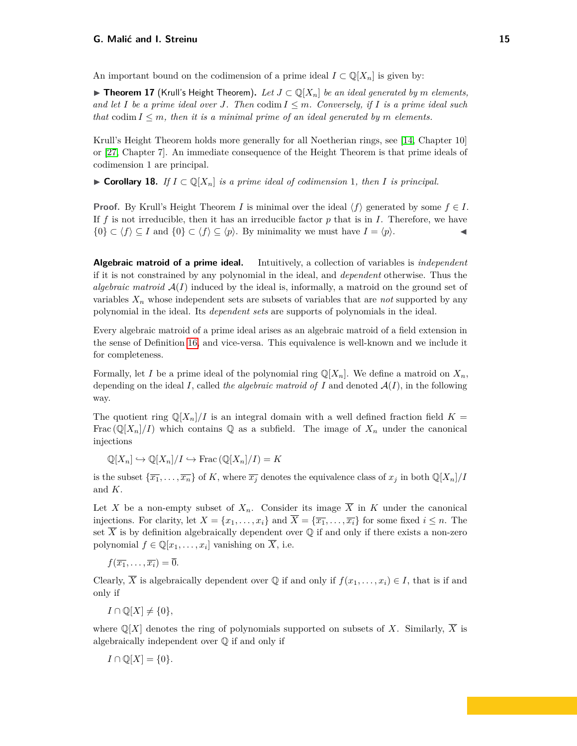An important bound on the codimension of a prime ideal  $I \subset \mathbb{Q}[X_n]$  is given by:

▶ **Theorem 17** (Krull's Height Theorem). Let  $J \subset \mathbb{Q}[X_n]$  be an ideal generated by m elements, *and let I be a prime ideal over J.* Then codim  $I \leq m$ . Conversely, if *I* is a prime ideal such *that* codim  $I \leq m$ , then it is a minimal prime of an ideal generated by m elements.

Krull's Height Theorem holds more generally for all Noetherian rings, see [\[14,](#page-29-9) Chapter 10] or [\[27,](#page-30-14) Chapter 7]. An immediate consequence of the Height Theorem is that prime ideals of codimension 1 are principal.

<span id="page-14-0"></span>▶ Corollary 18. *If*  $I \subset \mathbb{Q}[X_n]$  *is a prime ideal of codimension* 1*, then I is principal.* 

**Proof.** By Krull's Height Theorem *I* is minimal over the ideal  $\langle f \rangle$  generated by some  $f \in I$ . If  $f$  is not irreducible, then it has an irreducible factor  $p$  that is in  $I$ . Therefore, we have  $\{0\} \subset \langle f \rangle \subseteq I$  and  $\{0\} \subset \langle f \rangle \subseteq \langle p \rangle$ . By minimality we must have  $I = \langle p \rangle$ .

**Algebraic matroid of a prime ideal.** Intuitively, a collection of variables is *independent* if it is not constrained by any polynomial in the ideal, and *dependent* otherwise. Thus the *algebraic matroid*  $A(I)$  induced by the ideal is, informally, a matroid on the ground set of variables *X<sup>n</sup>* whose independent sets are subsets of variables that are *not* supported by any polynomial in the ideal. Its *dependent sets* are supports of polynomials in the ideal.

Every algebraic matroid of a prime ideal arises as an algebraic matroid of a field extension in the sense of Definition [16,](#page-13-0) and vice-versa. This equivalence is well-known and we include it for completeness.

Formally, let *I* be a prime ideal of the polynomial ring  $\mathbb{Q}[X_n]$ . We define a matroid on  $X_n$ , depending on the ideal *I*, called *the algebraic matroid of I* and denoted  $A(I)$ , in the following way.

The quotient ring  $\mathbb{Q}[X_n]/I$  is an integral domain with a well defined fraction field  $K =$ Frac  $(\mathbb{Q}[X_n]/I)$  which contains  $\mathbb{Q}$  as a subfield. The image of  $X_n$  under the canonical injections

 $\mathbb{Q}[X_n] \hookrightarrow \mathbb{Q}[X_n]/I \hookrightarrow \text{Frac}(\mathbb{Q}[X_n]/I) = K$ 

is the subset  $\{\overline{x_1}, \ldots, \overline{x_n}\}$  of *K*, where  $\overline{x_j}$  denotes the equivalence class of  $x_j$  in both  $\mathbb{Q}[X_n]/I$ and *K*.

Let X be a non-empty subset of  $X_n$ . Consider its image  $\overline{X}$  in K under the canonical injections. For clarity, let  $X = \{x_1, \ldots, x_i\}$  and  $\overline{X} = \{\overline{x_1}, \ldots, \overline{x_i}\}$  for some fixed  $i \leq n$ . The set  $\overline{X}$  is by definition algebraically dependent over  $\mathbb Q$  if and only if there exists a non-zero polynomial  $f \in \mathbb{Q}[x_1, \ldots, x_i]$  vanishing on  $\overline{X}$ , i.e.

 $f(\overline{x_1}, \ldots, \overline{x_i}) = \overline{0}.$ 

Clearly,  $\overline{X}$  is algebraically dependent over  $\mathbb Q$  if and only if  $f(x_1, \ldots, x_i) \in I$ , that is if and only if

 $I \cap \mathbb{Q}[X] \neq \{0\},\$ 

where  $\mathbb{Q}[X]$  denotes the ring of polynomials supported on subsets of X. Similarly,  $\overline{X}$  is algebraically independent over Q if and only if

$$
I \cap \mathbb{Q}[X] = \{0\}.
$$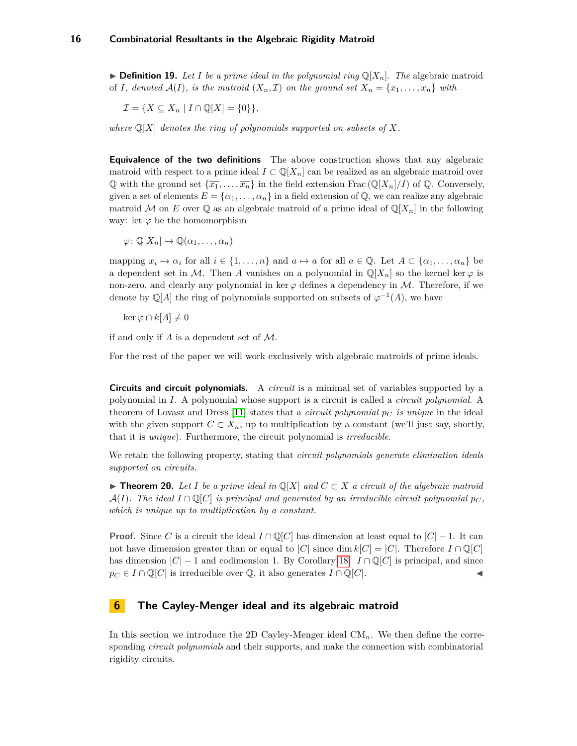$\blacktriangleright$  **Definition 19.** Let I be a prime ideal in the polynomial ring  $\mathbb{Q}[X_n]$ . The algebraic matroid of *I, denoted*  $\mathcal{A}(I)$ *, is the matroid*  $(X_n, \mathcal{I})$  *on the ground set*  $X_n = \{x_1, \ldots, x_n\}$  *with* 

$$
\mathcal{I} = \{ X \subseteq X_n \mid I \cap \mathbb{Q}[X] = \{0\} \},
$$

where  $\mathbb{Q}[X]$  *denotes the ring of polynomials supported on subsets of* X.

**Equivalence of the two definitions** The above construction shows that any algebraic matroid with respect to a prime ideal  $I \subset \mathbb{Q}[X_n]$  can be realized as an algebraic matroid over Q with the ground set  $\{\overline{x_1}, \ldots, \overline{x_n}\}$  in the field extension Frac ( $\mathbb{Q}[X_n]/I$ ) of Q. Conversely, given a set of elements  $E = \{\alpha_1, \ldots, \alpha_n\}$  in a field extension of  $\mathbb{Q}$ , we can realize any algebraic matroid M on *E* over  $\mathbb{Q}$  as an algebraic matroid of a prime ideal of  $\mathbb{Q}[X_n]$  in the following way: let  $\varphi$  be the homomorphism

 $\varphi\colon \mathbb{Q}[X_n] \to \mathbb{Q}(\alpha_1,\ldots,\alpha_n)$ 

mapping  $x_i \mapsto \alpha_i$  for all  $i \in \{1, \ldots, n\}$  and  $a \mapsto a$  for all  $a \in \mathbb{Q}$ . Let  $A \subset \{\alpha_1, \ldots, \alpha_n\}$  be a dependent set in M. Then A vanishes on a polynomial in  $\mathbb{Q}[X_n]$  so the kernel ker  $\varphi$  is non-zero, and clearly any polynomial in ker  $\varphi$  defines a dependency in M. Therefore, if we denote by  $\mathbb{Q}[A]$  the ring of polynomials supported on subsets of  $\varphi^{-1}(A)$ , we have

 $\ker \varphi \cap k[A] \neq 0$ 

if and only if *A* is a dependent set of M.

For the rest of the paper we will work exclusively with algebraic matroids of prime ideals.

**Circuits and circuit polynomials.** A *circuit* is a minimal set of variables supported by a polynomial in *I*. A polynomial whose support is a circuit is called a *circuit polynomial*. A theorem of Lovasz and Dress [\[11\]](#page-29-10) states that a *circuit polynomial p<sup>C</sup> is unique* in the ideal with the given support  $C \subset X_n$ , up to multiplication by a constant (we'll just say, shortly, that it is *unique*). Furthermore, the circuit polynomial is *irreducible*.

We retain the following property, stating that *circuit polynomials generate elimination ideals supported on circuits.*

**► Theorem 20.** Let *I* be a prime ideal in  $\mathbb{Q}[X]$  and  $C \subset X$  a circuit of the algebraic matroid  $\mathcal{A}(I)$ *. The ideal*  $I \cap \mathbb{Q}[C]$  *is principal and generated by an irreducible circuit polynomial*  $p_C$ , *which is unique up to multiplication by a constant.*

**Proof.** Since *C* is a circuit the ideal  $I \cap \mathbb{Q}[C]$  has dimension at least equal to  $|C| - 1$ . It can not have dimension greater than or equal to  $|C|$  since dim  $k[C] = |C|$ . Therefore  $I \cap \mathbb{Q}[C]$ has dimension  $|C| - 1$  and codimension 1. By Corollary [18,](#page-14-0)  $I \cap \mathbb{Q}[C]$  is principal, and since  $p_C \in I \cap \mathbb{Q}[C]$  is irreducible over  $\mathbb{Q}$ , it also generates  $I \cap \mathbb{Q}[C]$ .

## <span id="page-15-0"></span>**6 The Cayley-Menger ideal and its algebraic matroid**

In this section we introduce the 2D Cayley-Menger ideal  $CM_n$ . We then define the corresponding *circuit polynomials* and their supports, and make the connection with combinatorial rigidity circuits.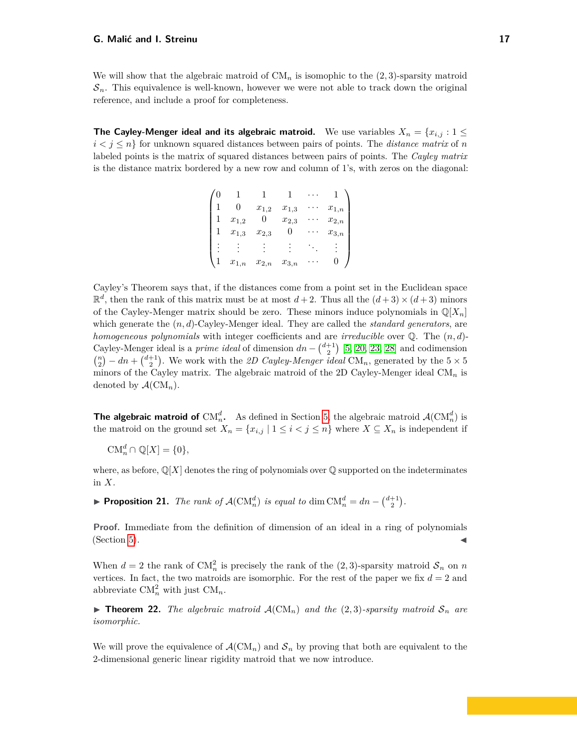We will show that the algebraic matroid of  $CM_n$  is isomophic to the  $(2,3)$ -sparsity matroid  $\mathcal{S}_n$ . This equivalence is well-known, however we were not able to track down the original reference, and include a proof for completeness.

**The Cayley-Menger ideal and its algebraic matroid.** We use variables  $X_n = \{x_{i,j} : 1 \leq j \leq n\}$  $i < j \leq n$  for unknown squared distances between pairs of points. The *distance matrix* of *n* labeled points is the matrix of squared distances between pairs of points. The *Cayley matrix* is the distance matrix bordered by a new row and column of 1's, with zeros on the diagonal:

|                        | $x_{1,2}$              | $x_{1,3}$ | $\boldsymbol{x}_{1,n}$ |
|------------------------|------------------------|-----------|------------------------|
| $x_{1,2}$              |                        | $x_{2,3}$ | $\boldsymbol{x}_{2,n}$ |
| $x_{1,3}$              | $x_{2,3}$              |           | $x_{3,n}$              |
|                        |                        |           |                        |
| $\boldsymbol{x}_{1,n}$ | $\boldsymbol{x}_{2,n}$ | $x_{3,n}$ |                        |

Cayley's Theorem says that, if the distances come from a point set in the Euclidean space  $\mathbb{R}^d$ , then the rank of this matrix must be at most  $d+2$ . Thus all the  $(d+3) \times (d+3)$  minors of the Cayley-Menger matrix should be zero. These minors induce polynomials in  $\mathbb{Q}[X_n]$ which generate the (*n, d*)-Cayley-Menger ideal. They are called the *standard generators*, are *homogeneous polynomials* with integer coefficients and are *irreducible* over Q. The (*n, d*)- Cayley-Menger ideal is a *prime ideal* of dimension  $dn - \binom{d+1}{2}$  [\[5,](#page-29-11) [20,](#page-29-12) [23,](#page-30-15) [28\]](#page-30-16) and codimension  ${n \choose 2}$  – *dn* +  ${d+1 \choose 2}$ . We work with the *2D Cayley-Menger ideal* CM<sub>*n*</sub>, generated by the 5 × 5 minors of the Cayley matrix. The algebraic matroid of the 2D Cayley-Menger ideal CM*<sup>n</sup>* is denoted by  $\mathcal{A}(\mathrm{CM}_n)$ .

**The algebraic matroid of**  $CM_n^d$ . As defined in Section [5,](#page-12-0) the algebraic matroid  $\mathcal{A}(CM_n^d)$  is the matroid on the ground set  $X_n = \{x_{i,j} \mid 1 \leq i < j \leq n\}$  where  $X \subseteq X_n$  is independent if

 $CM_n^d \cap \mathbb{Q}[X] = \{0\},\$ 

where, as before,  $\mathbb{Q}[X]$  denotes the ring of polynomials over  $\mathbb{Q}$  supported on the indeterminates in *X*.

▶ **Proposition 21.** *The rank of*  $\mathcal{A}(\text{CM}_n^d)$  *is equal to* dim  $\text{CM}_n^d = dn - \binom{d+1}{2}$ *.* 

**Proof.** Immediate from the definition of dimension of an ideal in a ring of polynomials  $(Section 5)$  $(Section 5)$ .

When  $d = 2$  the rank of  $CM_n^2$  is precisely the rank of the  $(2,3)$ -sparsity matroid  $S_n$  on *n* vertices. In fact, the two matroids are isomorphic. For the rest of the paper we fix  $d = 2$  and abbreviate  $CM_n^2$  with just  $CM_n$ .

<span id="page-16-0"></span>**Findment 22.** The algebraic matroid  $\mathcal{A}(\mathrm{CM}_n)$  and the (2,3)*-sparsity matroid*  $\mathcal{S}_n$  are *isomorphic.*

We will prove the equivalence of  $\mathcal{A}(\mathrm{CM}_n)$  and  $\mathcal{S}_n$  by proving that both are equivalent to the 2-dimensional generic linear rigidity matroid that we now introduce.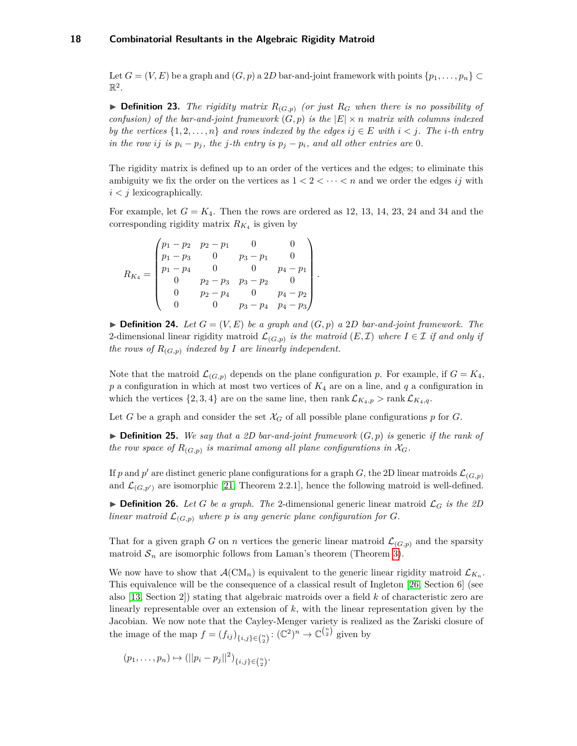Let  $G = (V, E)$  be a graph and  $(G, p)$  a 2D bar-and-joint framework with points  $\{p_1, \ldots, p_n\} \subset$  $\mathbb{R}^2$ .

 $\triangleright$  **Definition 23.** *The rigidity matrix*  $R_{(G,p)}$  *(or just*  $R_G$  *when there is no possibility of confusion) of the bar-and-joint framework*  $(G, p)$  *is the*  $|E| \times n$  *matrix with columns indexed by the vertices*  $\{1, 2, \ldots, n\}$  *and rows indexed by the edges*  $ij \in E$  *with*  $i < j$ *. The i-th entry in the row ij is*  $p_i - p_j$ *, the j-th entry is*  $p_j - p_i$ *, and all other entries are* 0*.* 

The rigidity matrix is defined up to an order of the vertices and the edges; to eliminate this ambiguity we fix the order on the vertices as  $1 < 2 < \cdots < n$  and we order the edges *ij* with  $i < j$  lexicographically.

For example, let  $G = K_4$ . Then the rows are ordered as 12, 13, 14, 23, 24 and 34 and the corresponding rigidity matrix  $R_{K_4}$  is given by

$$
R_{K_4} = \begin{pmatrix} p_1 - p_2 & p_2 - p_1 & 0 & 0 \ p_1 - p_3 & 0 & p_3 - p_1 & 0 \ p_1 - p_4 & 0 & 0 & p_4 - p_1 \ 0 & p_2 - p_3 & p_3 - p_2 & 0 \ 0 & p_2 - p_4 & 0 & p_4 - p_2 \ 0 & 0 & p_3 - p_4 & p_4 - p_3 \end{pmatrix}.
$$

 $\blacktriangleright$  **Definition 24.** Let  $G = (V, E)$  be a graph and  $(G, p)$  a 2D bar-and-joint framework. The 2-dimensional linear rigidity matroid  $\mathcal{L}_{(G,p)}$  *is the matroid*  $(E,\mathcal{I})$  *where*  $I \in \mathcal{I}$  *if and only if the rows of*  $R_{(G,p)}$  *indexed by I* are *linearly independent.* 

Note that the matroid  $\mathcal{L}_{(G,p)}$  depends on the plane configuration p. For example, if  $G = K_4$ , *p* a configuration in which at most two vertices of *K*<sup>4</sup> are on a line, and *q* a configuration in which the vertices  $\{2, 3, 4\}$  are on the same line, then rank  $\mathcal{L}_{K_4,p}$  > rank  $\mathcal{L}_{K_4,q}$ .

Let *G* be a graph and consider the set  $\mathcal{X}_G$  of all possible plane configurations p for *G*.

 $\triangleright$  **Definition 25.** We say that a 2D bar-and-joint framework  $(G, p)$  is generic if the rank of *the row space of*  $R_{(G,p)}$  *is maximal among all plane configurations in*  $\mathcal{X}_G$ *.* 

If *p* and *p*<sup> $\prime$ </sup> are distinct generic plane configurations for a graph *G*, the 2D linear matroids  $\mathcal{L}_{(G,p)}$ and  $\mathcal{L}_{(G,p')}$  are isomorphic [\[21,](#page-29-13) Theorem 2.2.1], hence the following matroid is well-defined.

**Definition 26.** Let G be a graph. The 2-dimensional generic linear matroid  $\mathcal{L}_G$  is the 2D *linear matroid*  $\mathcal{L}_{(G,p)}$  *where*  $p$  *is any generic plane configuration for*  $G$ *.* 

That for a given graph *G* on *n* vertices the generic linear matroid  $\mathcal{L}_{(G,p)}$  and the sparsity matroid  $S_n$  are isomorphic follows from Laman's theorem (Theorem [3\)](#page-3-1).

We now have to show that  $\mathcal{A}(\mathrm{CM}_n)$  is equivalent to the generic linear rigidity matroid  $\mathcal{L}_{K_n}$ . This equivalence will be the consequence of a classical result of Ingleton [\[26,](#page-30-17) Section 6] (see also [\[13,](#page-29-14) Section 2]) stating that algebraic matroids over a field *k* of characteristic zero are linearly representable over an extension of *k*, with the linear representation given by the Jacobian. We now note that the Cayley-Menger variety is realized as the Zariski closure of the image of the map  $f = (f_{ij})_{\{i,j\} \in \binom{n}{2}} : (\mathbb{C}^2)^n \to \mathbb{C}^{\binom{n}{2}}$  given by

$$
(p_1,\ldots,p_n)\mapsto (||p_i-p_j||^2)_{\{i,j\}\in\binom{n}{2}}.
$$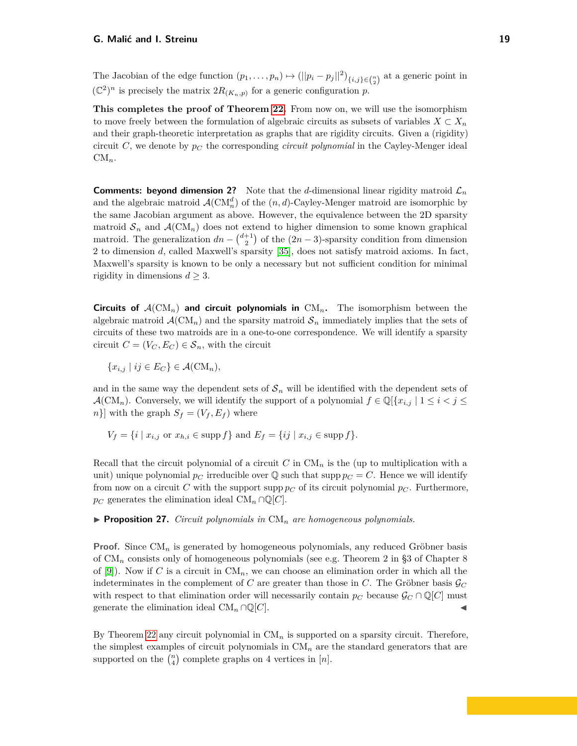The Jacobian of the edge function  $(p_1, \ldots, p_n) \mapsto (||p_i - p_j||^2)_{\{i,j\} \in \binom{n}{2}}$  at a generic point in  $(\mathbb{C}^2)^n$  is precisely the matrix  $2R_{(K_n,p)}$  for a generic configuration p.

**This completes the proof of Theorem [22.](#page-16-0)** From now on, we will use the isomorphism to move freely between the formulation of algebraic circuits as subsets of variables  $X \subset X_n$ and their graph-theoretic interpretation as graphs that are rigidity circuits. Given a (rigidity) circuit *C*, we denote by  $p<sub>C</sub>$  the corresponding *circuit polynomial* in the Cayley-Menger ideal  $CM_n$ .

**Comments: beyond dimension 2?** Note that the *d*-dimensional linear rigidity matroid  $\mathcal{L}_n$ and the algebraic matroid  $\mathcal{A}(\text{CM}_n^d)$  of the  $(n, d)$ -Cayley-Menger matroid are isomorphic by the same Jacobian argument as above. However, the equivalence between the 2D sparsity matroid  $S_n$  and  $\mathcal{A}(\mathrm{CM}_n)$  does not extend to higher dimension to some known graphical matroid. The generalization  $dn - \binom{d+1}{2}$  of the  $(2n-3)$ -sparsity condition from dimension 2 to dimension *d*, called Maxwell's sparsity [\[35\]](#page-30-18), does not satisfy matroid axioms. In fact, Maxwell's sparsity is known to be only a necessary but not sufficient condition for minimal rigidity in dimensions  $d \geq 3$ .

**Circuits of**  $A(\text{CM}_n)$  and circuit polynomials in  $\text{CM}_n$ . The isomorphism between the algebraic matroid  $\mathcal{A}(CM_n)$  and the sparsity matroid  $\mathcal{S}_n$  immediately implies that the sets of circuits of these two matroids are in a one-to-one correspondence. We will identify a sparsity circuit  $C = (V_C, E_C) \in S_n$ , with the circuit

 ${x_{i,j} | ij \in E_C} \in \mathcal{A}(\mathrm{CM}_n)$ ,

and in the same way the dependent sets of  $S_n$  will be identified with the dependent sets of A(CM<sub>n</sub>). Conversely, we will identify the support of a polynomial  $f \in \mathbb{Q}[\{x_{i,j} \mid 1 \leq i < j \leq j\}]$  $n$ }] with the graph  $S_f = (V_f, E_f)$  where

$$
V_f = \{i \mid x_{i,j} \text{ or } x_{h,i} \in \text{supp } f\} \text{ and } E_f = \{ij \mid x_{i,j} \in \text{supp } f\}.
$$

Recall that the circuit polynomial of a circuit  $C$  in  $CM_n$  is the (up to multiplication with a unit) unique polynomial  $p_C$  irreducible over  $\mathbb Q$  such that supp  $p_C = C$ . Hence we will identify from now on a circuit *C* with the support supp  $p_C$  of its circuit polynomial  $p_C$ . Furthermore, *p<sub>C</sub>* generates the elimination ideal CM<sub>*n*</sub> ∩Q[*C*].

<span id="page-18-0"></span> $\triangleright$  **Proposition 27.** *Circuit polynomials in*  $CM_n$  *are homogeneous polynomials.* 

**Proof.** Since CM*<sup>n</sup>* is generated by homogeneous polynomials, any reduced Gröbner basis of CM*<sup>n</sup>* consists only of homogeneous polynomials (see e.g. Theorem 2 in §3 of Chapter 8 of  $[9]$ . Now if *C* is a circuit in  $CM_n$ , we can choose an elimination order in which all the indeterminates in the complement of *C* are greater than those in *C*. The Gröbner basis  $\mathcal{G}_C$ with respect to that elimination order will necessarily contain  $p_C$  because  $\mathcal{G}_C \cap \mathbb{Q}[C]$  must generate the elimination ideal  $CM_n \cap \mathbb{Q}[C]$ .

By Theorem [22](#page-16-0) any circuit polynomial in  $CM_n$  is supported on a sparsity circuit. Therefore, the simplest examples of circuit polynomials in CM*<sup>n</sup>* are the standard generators that are supported on the  $\binom{n}{4}$  complete graphs on 4 vertices in  $[n]$ .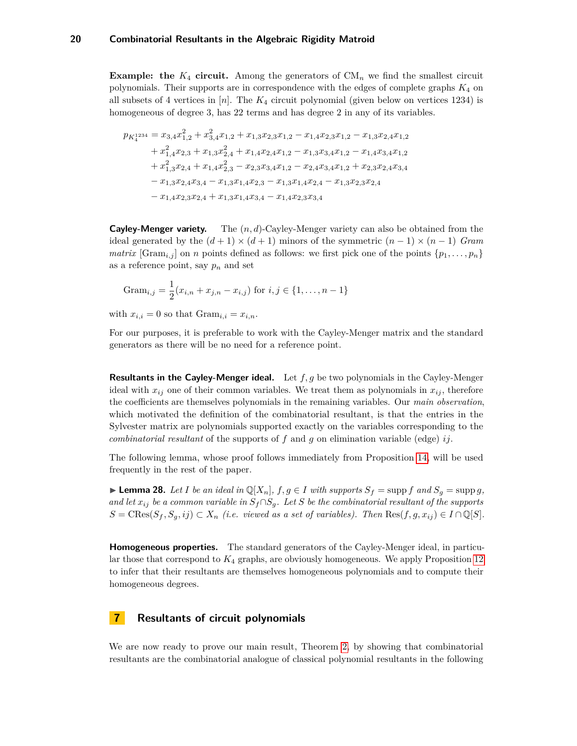**Example: the**  $K_4$  **circuit.** Among the generators of  $CM_n$  we find the smallest circuit polynomials. Their supports are in correspondence with the edges of complete graphs *K*<sup>4</sup> on all subsets of 4 vertices in [*n*]. The *K*<sup>4</sup> circuit polynomial (given below on vertices 1234) is homogeneous of degree 3, has 22 terms and has degree 2 in any of its variables.

$$
p_{K_4^{1234}} = x_{3,4}x_{1,2}^2 + x_{3,4}^2x_{1,2} + x_{1,3}x_{2,3}x_{1,2} - x_{1,4}x_{2,3}x_{1,2} - x_{1,3}x_{2,4}x_{1,2}
$$
  
+  $x_{1,4}^2x_{2,3} + x_{1,3}x_{2,4}^2 + x_{1,4}x_{2,4}x_{1,2} - x_{1,3}x_{3,4}x_{1,2} - x_{1,4}x_{3,4}x_{1,2}$   
+  $x_{1,3}^2x_{2,4} + x_{1,4}x_{2,3}^2 - x_{2,3}x_{3,4}x_{1,2} - x_{2,4}x_{3,4}x_{1,2} + x_{2,3}x_{2,4}x_{3,4}$   
-  $x_{1,3}x_{2,4}x_{3,4} - x_{1,3}x_{1,4}x_{2,3} - x_{1,3}x_{1,4}x_{2,4} - x_{1,3}x_{2,3}x_{2,4}$   
-  $x_{1,4}x_{2,3}x_{2,4} + x_{1,3}x_{1,4}x_{3,4} - x_{1,4}x_{2,3}x_{3,4}$ 

**Cayley-Menger variety.** The (*n, d*)-Cayley-Menger variety can also be obtained from the ideal generated by the  $(d+1) \times (d+1)$  minors of the symmetric  $(n-1) \times (n-1)$  *Gram matrix* [Gram<sub>*i,j*</sub>] on *n* points defined as follows: we first pick one of the points  $\{p_1, \ldots, p_n\}$ as a reference point, say *p<sup>n</sup>* and set

$$
Gram_{i,j} = \frac{1}{2}(x_{i,n} + x_{j,n} - x_{i,j})
$$
 for  $i, j \in \{1, ..., n-1\}$ 

with  $x_{i,i} = 0$  so that  $\text{Gram}_{i,i} = x_{i,n}$ .

For our purposes, it is preferable to work with the Cayley-Menger matrix and the standard generators as there will be no need for a reference point.

**Resultants in the Cayley-Menger ideal.** Let *f, g* be two polynomials in the Cayley-Menger ideal with  $x_{ij}$  one of their common variables. We treat them as polynomials in  $x_{ij}$ , therefore the coefficients are themselves polynomials in the remaining variables. Our *main observation*, which motivated the definition of the combinatorial resultant, is that the entries in the Sylvester matrix are polynomials supported exactly on the variables corresponding to the *combinatorial resultant* of the supports of *f* and *g* on elimination variable (edge) *ij*.

The following lemma, whose proof follows immediately from Proposition [14,](#page-12-1) will be used frequently in the rest of the paper.

<span id="page-19-1"></span>► **Lemma 28.** Let *I* be an ideal in  $\mathbb{Q}[X_n]$ ,  $f, g \in I$  with supports  $S_f = \text{supp } f$  and  $S_g = \text{supp } g$ , *and let*  $x_{ij}$  *be a common variable in*  $S_f \cap S_g$ *. Let S be the combinatorial resultant of the supports*  $S = \text{CRes}(S_f, S_a, ij) \subset X_n$  *(i.e. viewed as a set of variables). Then*  $\text{Res}(f, g, x_{ij}) \in I \cap \mathbb{Q}[S]$ .

**Homogeneous properties.** The standard generators of the Cayley-Menger ideal, in particular those that correspond to *K*<sup>4</sup> graphs, are obviously homogeneous. We apply Proposition [12](#page-11-0) to infer that their resultants are themselves homogeneous polynomials and to compute their homogeneous degrees.

## <span id="page-19-0"></span>**7 Resultants of circuit polynomials**

We are now ready to prove our main result, Theorem [2,](#page-2-1) by showing that combinatorial resultants are the combinatorial analogue of classical polynomial resultants in the following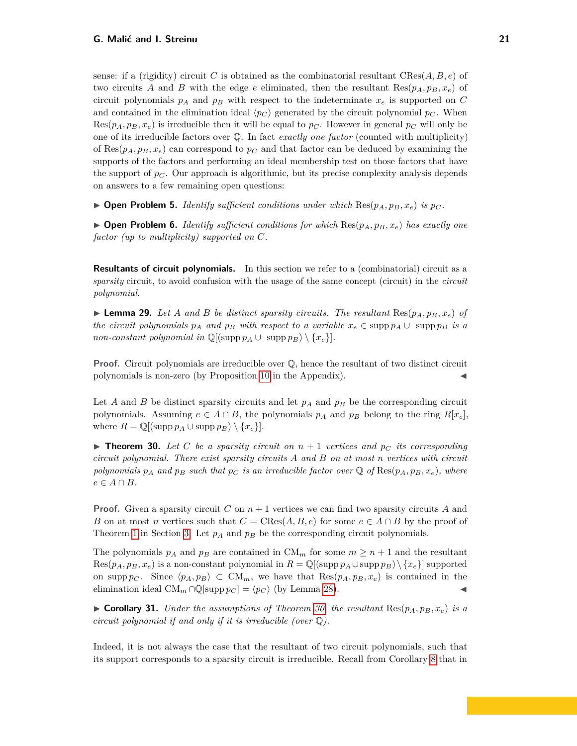sense: if a (rigidity) circuit *C* is obtained as the combinatorial resultant  $\text{CRes}(A, B, e)$  of two circuits *A* and *B* with the edge *e* eliminated, then the resultant  $\text{Res}(p_A, p_B, x_e)$  of circuit polynomials  $p_A$  and  $p_B$  with respect to the indeterminate  $x_e$  is supported on  $C$ and contained in the elimination ideal  $\langle p_C \rangle$  generated by the circuit polynomial  $p_C$ . When  $Res(p_A, p_B, x_e)$  is irreducible then it will be equal to  $p_C$ . However in general  $p_C$  will only be one of its irreducible factors over Q. In fact *exactly one factor* (counted with multiplicity) of Res $(p_A, p_B, x_e)$  can correspond to  $p_C$  and that factor can be deduced by examining the supports of the factors and performing an ideal membership test on those factors that have the support of *p<sup>C</sup>* . Our approach is algorithmic, but its precise complexity analysis depends on answers to a few remaining open questions:

 $\triangleright$  **Open Problem 5.** *Identify sufficient conditions under which*  $\text{Res}(p_A, p_B, x_e)$  *is*  $p_C$ *.* 

 $\triangleright$  **Open Problem 6.** *Identify sufficient conditions for which* Res( $p_A$ ,  $p_B$ ,  $x_e$ ) *has exactly one factor (up to multiplicity) supported on C.*

**Resultants of circuit polynomials.** In this section we refer to a (combinatorial) circuit as a *sparsity* circuit, to avoid confusion with the usage of the same concept (circuit) in the *circuit polynomial*.

**Example 29.** Let A and B be distinct sparsity circuits. The resultant  $\text{Res}(p_A, p_B, x_e)$  of *the circuit polynomials*  $p_A$  *and*  $p_B$  *with respect to a variable*  $x_e \in \text{supp } p_A \cup \text{supp } p_B$  *is a non-constant polynomial in*  $\mathbb{Q}[(\text{supp }p_A \cup \text{supp }p_B) \setminus \{x_e\}].$ 

**Proof.** Circuit polynomials are irreducible over  $\mathbb{Q}$ , hence the resultant of two distinct circuit polynomials is non-zero (by Proposition [10](#page-10-1) in the Appendix).

Let *A* and *B* be distinct sparsity circuits and let  $p_A$  and  $p_B$  be the corresponding circuit polynomials. Assuming  $e \in A \cap B$ , the polynomials  $p_A$  and  $p_B$  belong to the ring  $R[x_e]$ , where  $R = \mathbb{Q}[(\text{supp }p_A \cup \text{supp }p_B) \setminus \{x_e\}].$ 

<span id="page-20-0"></span>**Find 10.** Let C be a sparsity circuit on  $n + 1$  vertices and  $p_C$  its corresponding *circuit polynomial. There exist sparsity circuits A and B on at most n vertices with circuit polynomials*  $p_A$  *and*  $p_B$  *such that*  $p_C$  *is an irreducible factor over*  $\mathbb{Q}$  *of* Res( $p_A, p_B, x_e$ )*, where*  $e \in A \cap B$ *.* 

**Proof.** Given a sparsity circuit *C* on  $n + 1$  vertices we can find two sparsity circuits *A* and *B* on at most *n* vertices such that  $C = \text{CRes}(A, B, e)$  for some  $e \in A \cap B$  by the proof of Theorem [1](#page-2-0) in Section [3.](#page-6-0) Let *p<sup>A</sup>* and *p<sup>B</sup>* be the corresponding circuit polynomials.

The polynomials  $p_A$  and  $p_B$  are contained in  $CM_m$  for some  $m \geq n+1$  and the resultant  $Res(p_A, p_B, x_e)$  is a non-constant polynomial in  $R = \mathbb{Q}[(\text{supp } p_A \cup \text{supp } p_B) \setminus \{x_e\}]$  supported on supp  $p_C$ . Since  $\langle p_A, p_B \rangle \subset \mathrm{CM}_m$ , we have that  $\text{Res}(p_A, p_B, x_e)$  is contained in the elimination ideal  $CM_m \cap \mathbb{Q}[\text{supp }p_C] = \langle p_C \rangle$  (by Lemma [28\)](#page-19-1).

 $\triangleright$  **Corollary 31.** *Under the assumptions of Theorem [30,](#page-20-0) the resultant* Res $(p_A, p_B, x_e)$  *is a circuit polynomial if and only if it is irreducible (over* Q*).*

Indeed, it is not always the case that the resultant of two circuit polynomials, such that its support corresponds to a sparsity circuit is irreducible. Recall from Corollary [8](#page-9-2) that in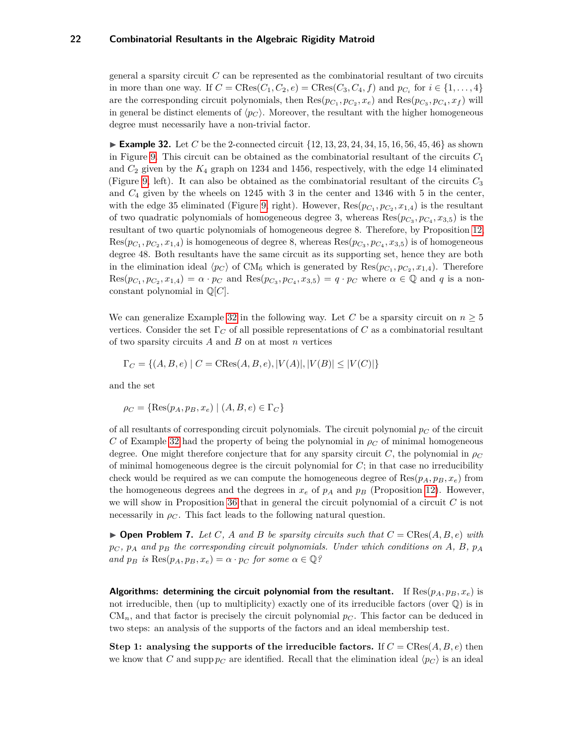general a sparsity circuit *C* can be represented as the combinatorial resultant of two circuits in more than one way. If  $C = \text{CRes}(C_1, C_2, e) = \text{CRes}(C_3, C_4, f)$  and  $p_{C_i}$  for  $i \in \{1, \ldots, 4\}$ are the corresponding circuit polynomials, then  $\text{Res}(p_{C_1}, p_{C_2}, x_e)$  and  $\text{Res}(p_{C_3}, p_{C_4}, x_f)$  will in general be distinct elements of  $\langle p_C \rangle$ . Moreover, the resultant with the higher homogeneous degree must necessarily have a non-trivial factor.

<span id="page-21-0"></span>**Example 32.** Let *C* be the 2-connected circuit  $\{12, 13, 23, 24, 34, 15, 16, 56, 45, 46\}$  as shown in Figure [9.](#page-9-1) This circuit can be obtained as the combinatorial resultant of the circuits *C*<sup>1</sup> and *C*<sup>2</sup> given by the *K*<sup>4</sup> graph on 1234 and 1456, respectively, with the edge 14 eliminated (Figure [9,](#page-9-1) left). It can also be obtained as the combinatorial resultant of the circuits *C*<sup>3</sup> and *C*<sup>4</sup> given by the wheels on 1245 with 3 in the center and 1346 with 5 in the center, with the edge 35 eliminated (Figure [9,](#page-9-1) right). However,  $\text{Res}(p_{C_1}, p_{C_2}, x_{1,4})$  is the resultant of two quadratic polynomials of homogeneous degree 3, whereas  $\text{Res}(p_{C_3}, p_{C_4}, x_{3,5})$  is the resultant of two quartic polynomials of homogeneous degree 8. Therefore, by Proposition [12,](#page-11-0)  $Res(p_{C_1}, p_{C_2}, x_{1,4})$  is homogeneous of degree 8, whereas  $Res(p_{C_3}, p_{C_4}, x_{3,5})$  is of homogeneous degree 48. Both resultants have the same circuit as its supporting set, hence they are both in the elimination ideal  $\langle p_C \rangle$  of CM<sub>6</sub> which is generated by  $\text{Res}(p_{C_1}, p_{C_2}, x_{1,4})$ . Therefore  $\text{Res}(p_{C_1}, p_{C_2}, x_{1,4}) = \alpha \cdot p_C$  and  $\text{Res}(p_{C_3}, p_{C_4}, x_{3,5}) = q \cdot p_C$  where  $\alpha \in \mathbb{Q}$  and q is a nonconstant polynomial in Q[*C*].

We can generalize Example [32](#page-21-0) in the following way. Let *C* be a sparsity circuit on  $n \geq 5$ vertices. Consider the set  $\Gamma_C$  of all possible representations of *C* as a combinatorial resultant of two sparsity circuits *A* and *B* on at most *n* vertices

$$
\Gamma_C = \{(A, B, e) \mid C = \text{CRes}(A, B, e), |V(A)|, |V(B)| \le |V(C)|\}
$$

and the set

$$
\rho_C = \{ \text{Res}(p_A, p_B, x_e) \mid (A, B, e) \in \Gamma_C \}
$$

of all resultants of corresponding circuit polynomials. The circuit polynomial  $p_C$  of the circuit *C* of Example [32](#page-21-0) had the property of being the polynomial in  $\rho_C$  of minimal homogeneous degree. One might therefore conjecture that for any sparsity circuit *C*, the polynomial in *ρ<sup>C</sup>* of minimal homogeneous degree is the circuit polynomial for *C*; in that case no irreducibility check would be required as we can compute the homogeneous degree of  $\text{Res}(p_A, p_B, x_e)$  from the homogeneous degrees and the degrees in  $x_e$  of  $p_A$  and  $p_B$  (Proposition [12\)](#page-11-0). However, we will show in Proposition [36](#page-26-0) that in general the circuit polynomial of a circuit *C* is not necessarily in  $\rho_C$ . This fact leads to the following natural question.

 $\triangleright$  **Open Problem 7.** Let C, A and B be sparsity circuits such that  $C = \text{CRes}(A, B, e)$  with  $p_C$ ,  $p_A$  and  $p_B$  the corresponding circuit polynomials. Under which conditions on A, B,  $p_A$  $\alpha$ *nd*  $p_B$  *is*  $\text{Res}(p_A, p_B, x_e) = \alpha \cdot p_C$  *for some*  $\alpha \in \mathbb{Q}$ ?

**Algorithms: determining the circuit polynomial from the resultant.** If  $\text{Res}(p_A, p_B, x_e)$  is not irreducible, then (up to multiplicity) exactly one of its irreducible factors (over  $\mathbb{Q}$ ) is in  $CM_n$ , and that factor is precisely the circuit polynomial  $p_C$ . This factor can be deduced in two steps: an analysis of the supports of the factors and an ideal membership test.

**Step 1:** analysing the supports of the irreducible factors. If  $C = \text{CRes}(A, B, e)$  then we know that *C* and supp  $p_C$  are identified. Recall that the elimination ideal  $\langle p_C \rangle$  is an ideal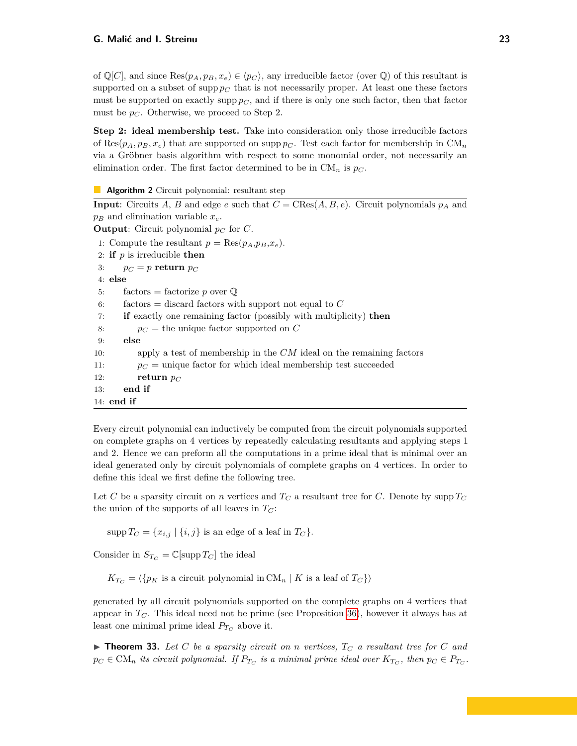of  $\mathbb{Q}[C]$ , and since  $\text{Res}(p_A, p_B, x_e) \in \langle p_C \rangle$ , any irreducible factor (over  $\mathbb{Q}$ ) of this resultant is supported on a subset of supp  $p_C$  that is not necessarily proper. At least one these factors must be supported on exactly supp  $p_C$ , and if there is only one such factor, then that factor must be  $p_C$ . Otherwise, we proceed to Step 2.

**Step 2: ideal membership test.** Take into consideration only those irreducible factors of Res $(p_A, p_B, x_e)$  that are supported on supp  $p_C$ . Test each factor for membership in  $CM_n$ via a Gröbner basis algorithm with respect to some monomial order, not necessarily an elimination order. The first factor determined to be in  $CM_n$  is  $p_C$ .

**Algorithm 2** Circuit polynomial: resultant step

**Input**: Circuits *A*, *B* and edge *e* such that  $C = \text{CRes}(A, B, e)$ . Circuit polynomials  $p_A$  and  $p_B$  and elimination variable  $x_e$ . **Output**: Circuit polynomial  $p_C$  for  $C$ . 1: Compute the resultant  $p = \text{Res}(p_A, p_B, x_e)$ . 2: **if** *p* is irreducible **then** 3:  $p_C = p$  **return**  $p_C$ 4: **else** 5: factors = factorize *p* over  $\mathbb{Q}$ 6: factors = discard factors with support not equal to *C* 7: **if** exactly one remaining factor (possibly with multiplicity) **then** 8:  $p_C =$  the unique factor supported on  $C$ 9: **else** 10: apply a test of membership in the *CM* ideal on the remaining factors 11:  $p_C =$  unique factor for which ideal membership test succeeded 12: **return**  $p_C$ 13: **end if** 14: **end if**

Every circuit polynomial can inductively be computed from the circuit polynomials supported on complete graphs on 4 vertices by repeatedly calculating resultants and applying steps 1 and 2. Hence we can preform all the computations in a prime ideal that is minimal over an ideal generated only by circuit polynomials of complete graphs on 4 vertices. In order to define this ideal we first define the following tree.

Let *C* be a sparsity circuit on *n* vertices and  $T_C$  a resultant tree for *C*. Denote by supp  $T_C$ the union of the supports of all leaves in  $T_C$ :

 $\sup p T_C = \{x_{i,j} | \{i,j\} \text{ is an edge of a leaf in } T_C\}.$ 

Consider in  $S_{T_C} = \mathbb{C}[\sup p T_C]$  the ideal

 $K_{T_C} = \langle \{p_K \text{ is a circuit polynomial in } CM_n \mid K \text{ is a leaf of } T_C \} \rangle$ 

generated by all circuit polynomials supported on the complete graphs on 4 vertices that appear in  $T_C$ . This ideal need not be prime (see Proposition [36\)](#page-26-0), however it always has at least one minimal prime ideal  $P_{T_C}$  above it.

 $\blacktriangleright$  **Theorem 33.** Let C be a sparsity circuit on n vertices,  $T_C$  a resultant tree for C and  $p_C \in \text{CM}_n$  *its circuit polynomial. If*  $P_{T_C}$  *is a minimal prime ideal over*  $K_{T_C}$ , *then*  $p_C \in P_{T_C}$ *.*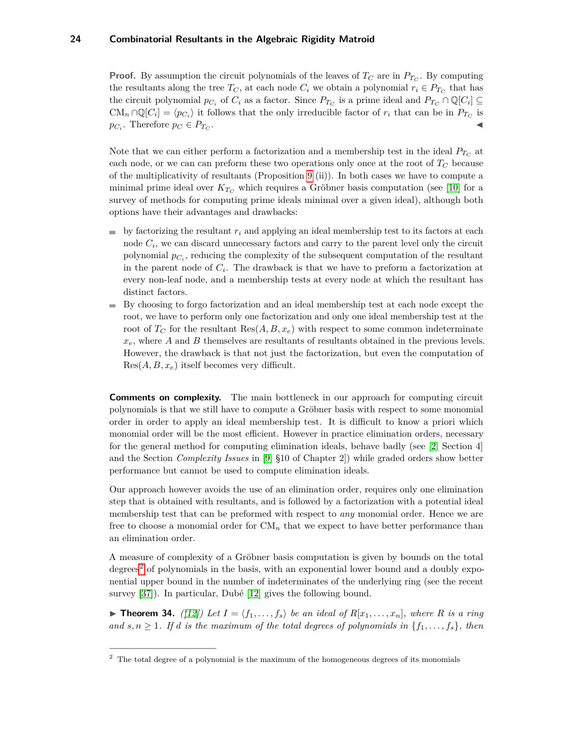**Proof.** By assumption the circuit polynomials of the leaves of  $T_C$  are in  $P_{T_C}$ . By computing the resultants along the tree  $T_C$ , at each node  $C_i$  we obtain a polynomial  $r_i \in P_{T_C}$  that has the circuit polynomial  $p_{C_i}$  of  $C_i$  as a factor. Since  $P_{T_C}$  is a prime ideal and  $P_{T_C} \cap \mathbb{Q}[C_i] \subseteq$  $CM_n \cap \mathbb{Q}[C_i] = \langle p_{C_i} \rangle$  it follows that the only irreducible factor of  $r_i$  that can be in  $P_{T_C}$  is  $p_{C_i}$ . Therefore  $p_C \in P_{T_C}$ . John Paris, John Paris, John Paris, John Paris, John Paris, John Paris, John Paris, John Paris, John Paris,

Note that we can either perform a factorization and a membership test in the ideal  $P_{T_C}$  at each node, or we can can preform these two operations only once at the root of  $T_C$  because of the multiplicativity of resultants (Proposition [9](#page-10-2) (ii)). In both cases we have to compute a minimal prime ideal over  $K_{T_C}$  which requires a Gröbner basis computation (see [\[10\]](#page-29-15) for a survey of methods for computing prime ideals minimal over a given ideal), although both options have their advantages and drawbacks:

- by factorizing the resultant  $r_i$  and applying an ideal membership test to its factors at each node  $C_i$ , we can discard unnecessary factors and carry to the parent level only the circuit polynomial  $p_{C_i}$ , reducing the complexity of the subsequent computation of the resultant in the parent node of *C<sup>i</sup>* . The drawback is that we have to preform a factorization at every non-leaf node, and a membership tests at every node at which the resultant has distinct factors.
- By choosing to forgo factorization and an ideal membership test at each node except the m. root, we have to perform only one factorization and only one ideal membership test at the root of  $T_C$  for the resultant  $\text{Res}(A, B, x_e)$  with respect to some common indeterminate  $x_e$ , where *A* and *B* themselves are resultants of resultants obtained in the previous levels. However, the drawback is that not just the factorization, but even the computation of Res(*A, B, xe*) itself becomes very difficult.

**Comments on complexity.** The main bottleneck in our approach for computing circuit polynomials is that we still have to compute a Gröbner basis with respect to some monomial order in order to apply an ideal membership test. It is difficult to know a priori which monomial order will be the most efficient. However in practice elimination orders, necessary for the general method for computing elimination ideals, behave badly (see [\[2,](#page-29-16) Section 4] and the Section *Complexity Issues* in [\[9,](#page-29-7) §10 of Chapter 2]) while graded orders show better performance but cannot be used to compute elimination ideals.

Our approach however avoids the use of an elimination order, requires only one elimination step that is obtained with resultants, and is followed by a factorization with a potential ideal membership test that can be preformed with respect to *any* monomial order. Hence we are free to choose a monomial order for  $CM_n$  that we expect to have better performance than an elimination order.

A measure of complexity of a Gröbner basis computation is given by bounds on the total degrees<sup>[2](#page-23-0)</sup> of polynomials in the basis, with an exponential lower bound and a doubly exponential upper bound in the number of indeterminates of the underlying ring (see the recent survey [\[37\]](#page-30-19)). In particular, Dubé [\[12\]](#page-29-17) gives the following bound.

**Find 14.** ([\[12\]](#page-29-17)) Let  $I = \langle f_1, \ldots, f_s \rangle$  be an ideal of  $R[x_1, \ldots, x_n]$ , where R is a ring *and*  $s, n \geq 1$ *. If d is the maximum of the total degrees of polynomials in*  $\{f_1, \ldots, f_s\}$ *, then* 

<span id="page-23-0"></span> $2\degree$  The total degree of a polynomial is the maximum of the homogeneous degrees of its monomials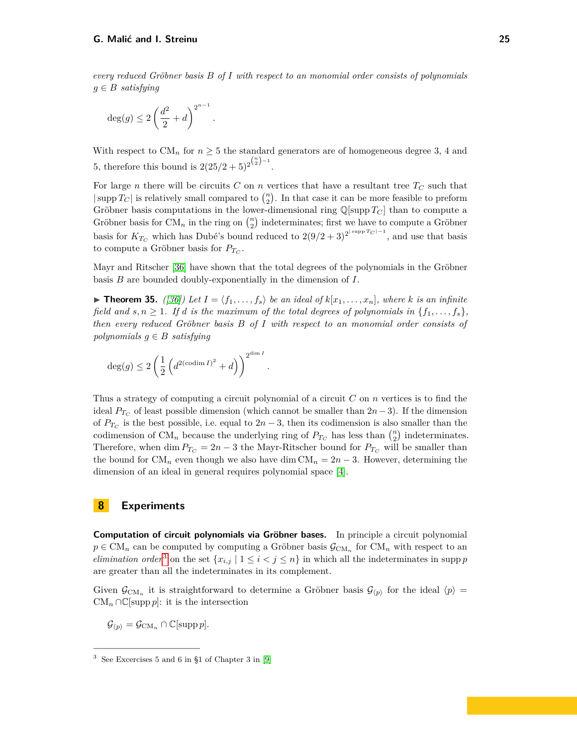*every reduced Gröbner basis B of I with respect to an monomial order consists of polynomials*  $g \in B$  *satisfying* 

$$
\deg(g) \le 2\left(\frac{d^2}{2} + d\right)^{2^{n-1}}.
$$

With respect to  $CM_n$  for  $n \geq 5$  the standard generators are of homogeneous degree 3, 4 and 5, therefore this bound is  $2(25/2+5)^{2^{\binom{n}{2}-1}}$ .

For large *n* there will be circuits  $C$  on  $n$  vertices that have a resultant tree  $T_C$  such that  $|\sup T_C|$  is relatively small compared to  $\binom{n}{2}$ . In that case it can be more feasible to preform Gröbner basis computations in the lower-dimensional ring  $\mathbb{Q}[\sup T_C]$  than to compute a Gröbner basis for  $CM_n$  in the ring on  $\binom{n}{2}$  indeterminates; first we have to compute a Gröbner basis for  $K_{T_C}$  which has Dubé's bound reduced to  $2(9/2+3)^{2^{|\text{supp }T_C|-1}}$ , and use that basis to compute a Gröbner basis for  $P_{T_C}$ .

Mayr and Ritscher [\[36\]](#page-30-20) have shown that the total degrees of the polynomials in the Gröbner basis *B* are bounded doubly-exponentially in the dimension of *I*.

 $\blacktriangleright$  **Theorem 35.** *([\[36\]](#page-30-20))* Let  $I = \langle f_1, \ldots, f_s \rangle$  be an ideal of  $k[x_1, \ldots, x_n]$ , where k is an infinite *field and*  $s, n \geq 1$ *. If d is the maximum of the total degrees of polynomials in*  $\{f_1, \ldots, f_s\}$ *, then every reduced Gröbner basis B of I with respect to an monomial order consists of polynomials*  $g \in B$  *satisfying* 

*.*

$$
\deg(g) \leq 2 \left(\frac{1}{2} \left(d^{2(\operatorname{codim} I)^2} + d\right)\right)^{2^{\operatorname{dim} I}}
$$

Thus a strategy of computing a circuit polynomial of a circuit *C* on *n* vertices is to find the ideal  $P_{T_C}$  of least possible dimension (which cannot be smaller than  $2n-3$ ). If the dimension of  $P_{T_C}$  is the best possible, i.e. equal to  $2n-3$ , then its codimension is also smaller than the codimension of  $CM_n$  because the underlying ring of  $P_{T_C}$  has less than  $\binom{n}{2}$  indeterminates. Therefore, when dim  $P_{T_C} = 2n - 3$  the Mayr-Ritscher bound for  $P_{T_C}$  will be smaller than the bound for  $CM_n$  even though we also have dim  $CM_n = 2n - 3$ . However, determining the dimension of an ideal in general requires polynomial space [\[4\]](#page-29-18).

## <span id="page-24-0"></span>**8 Experiments**

**Computation of circuit polynomials via Gröbner bases.** In principle a circuit polynomial  $p \in CM_n$  can be computed by computing a Gröbner basis  $\mathcal{G}_{CM_n}$  for  $CM_n$  with respect to an *elimination order*<sup>[3](#page-24-1)</sup> on the set  $\{x_{i,j} | 1 \leq i < j \leq n\}$  in which all the indeterminates in supp *p* are greater than all the indeterminates in its complement.

Given  $\mathcal{G}_{\text{CM}_n}$  it is straightforward to determine a Gröbner basis  $\mathcal{G}_{(p)}$  for the ideal  $\langle p \rangle =$  $CM_n \cap \mathbb{C}[\text{supp } p]$ : it is the intersection

 $\mathcal{G}_{\langle p \rangle} = \mathcal{G}_{\mathrm{CM}_n} \cap \mathbb{C}[\mathrm{supp}\, p].$ 

<span id="page-24-1"></span><sup>3</sup> See Excercises 5 and 6 in §1 of Chapter 3 in [\[9\]](#page-29-7)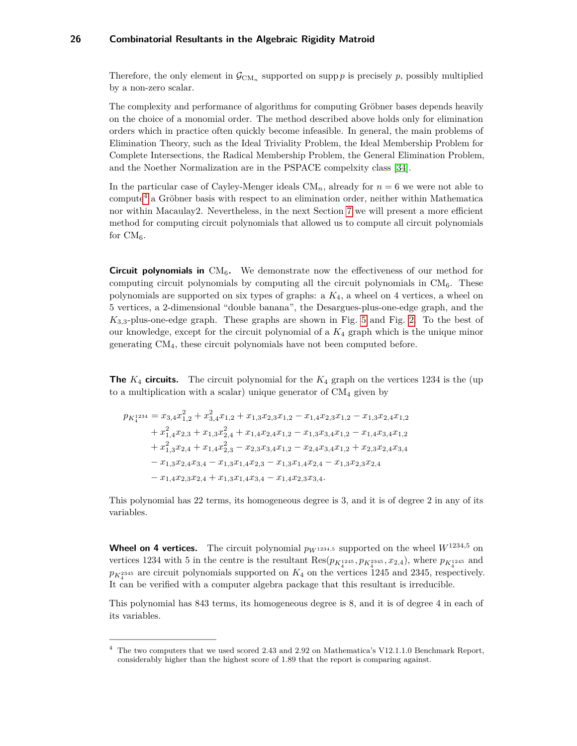Therefore, the only element in  $\mathcal{G}_{\text{CM}_n}$  supported on supp *p* is precisely *p*, possibly multiplied by a non-zero scalar.

The complexity and performance of algorithms for computing Gröbner bases depends heavily on the choice of a monomial order. The method described above holds only for elimination orders which in practice often quickly become infeasible. In general, the main problems of Elimination Theory, such as the Ideal Triviality Problem, the Ideal Membership Problem for Complete Intersections, the Radical Membership Problem, the General Elimination Problem, and the Noether Normalization are in the PSPACE compelxity class [\[34\]](#page-30-21).

In the particular case of Cayley-Menger ideals  $CM_n$ , already for  $n = 6$  we were not able to compute[4](#page-25-0) a Gröbner basis with respect to an elimination order, neither within Mathematica nor within Macaulay2. Nevertheless, in the next Section [7](#page-19-0) we will present a more efficient method for computing circuit polynomials that allowed us to compute all circuit polynomials for  $CM_{6}$ .

**Circuit polynomials in**  $CM<sub>6</sub>$ . We demonstrate now the effectiveness of our method for computing circuit polynomials by computing all the circuit polynomials in  $CM_6$ . These polynomials are supported on six types of graphs: a *K*4, a wheel on 4 vertices, a wheel on 5 vertices, a 2-dimensional "double banana", the Desargues-plus-one-edge graph, and the *K*3*,*3-plus-one-edge graph. These graphs are shown in Fig. [5](#page-6-1) and Fig. [2.](#page-5-0) To the best of our knowledge, except for the circuit polynomial of a *K*<sup>4</sup> graph which is the unique minor generating CM4, these circuit polynomials have not been computed before.

**The**  $K_4$  **circuits.** The circuit polynomial for the  $K_4$  graph on the vertices 1234 is the (up) to a multiplication with a scalar) unique generator of  $CM<sub>4</sub>$  given by

$$
p_{K_4^{1234}} = x_{3,4}x_{1,2}^2 + x_{3,4}^2x_{1,2} + x_{1,3}x_{2,3}x_{1,2} - x_{1,4}x_{2,3}x_{1,2} - x_{1,3}x_{2,4}x_{1,2}
$$
  
+  $x_{1,4}^2x_{2,3} + x_{1,3}x_{2,4}^2 + x_{1,4}x_{2,4}x_{1,2} - x_{1,3}x_{3,4}x_{1,2} - x_{1,4}x_{3,4}x_{1,2}$   
+  $x_{1,3}^2x_{2,4} + x_{1,4}x_{2,3}^2 - x_{2,3}x_{3,4}x_{1,2} - x_{2,4}x_{3,4}x_{1,2} + x_{2,3}x_{2,4}x_{3,4}$   
-  $x_{1,3}x_{2,4}x_{3,4} - x_{1,3}x_{1,4}x_{2,3} - x_{1,3}x_{1,4}x_{2,4} - x_{1,3}x_{2,3}x_{2,4}$   
-  $x_{1,4}x_{2,3}x_{2,4} + x_{1,3}x_{1,4}x_{3,4} - x_{1,4}x_{2,3}x_{3,4}.$ 

This polynomial has 22 terms, its homogeneous degree is 3, and it is of degree 2 in any of its variables.

**Wheel on 4 vertices.** The circuit polynomial  $p_{W^{1234,5}}$  supported on the wheel  $W^{1234,5}$  on vertices 1234 with 5 in the centre is the resultant  $Res(p_{K_4^{1245}}, p_{K_4^{2345}}, x_{2,4})$ , where  $p_{K_4^{1245}}$  and  $p_{K_4^{2345}}$  are circuit polynomials supported on  $K_4$  on the vertices 1245 and 2345, respectively. It can be verified with a computer algebra package that this resultant is irreducible.

This polynomial has 843 terms, its homogeneous degree is 8, and it is of degree 4 in each of its variables.

<span id="page-25-0"></span><sup>4</sup> The two computers that we used scored 2.43 and 2.92 on Mathematica's V12.1.1.0 Benchmark Report, considerably higher than the highest score of 1.89 that the report is comparing against.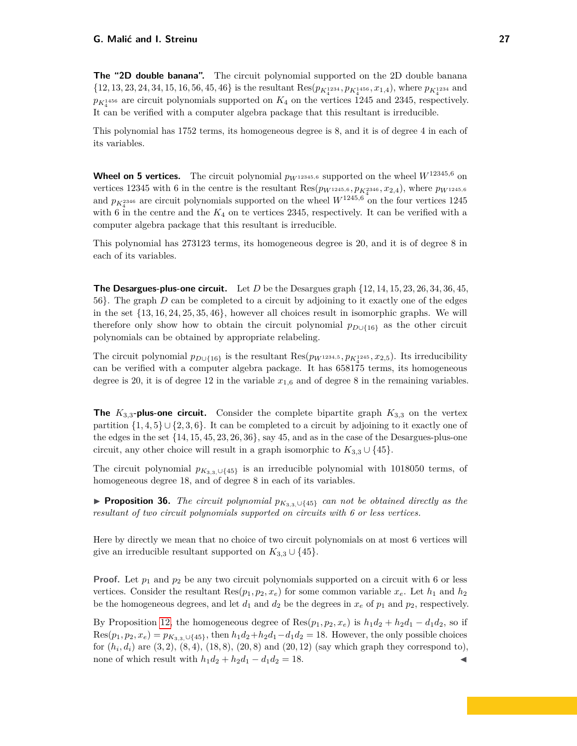**The "2D double banana".** The circuit polynomial supported on the 2D double banana  $\{12, 13, 23, 24, 34, 15, 16, 56, 45, 46\}$  is the resultant  $\text{Res}(p_{K_4^{1234}}, p_{K_4^{1456}}, x_{1,4})$ , where  $p_{K_4^{1234}}$  and  $p_{K_4^{1456}}$  are circuit polynomials supported on  $K_4$  on the vertices 1245 and 2345, respectively. It can be verified with a computer algebra package that this resultant is irreducible.

This polynomial has 1752 terms, its homogeneous degree is 8, and it is of degree 4 in each of its variables.

**Wheel on 5 vertices.** The circuit polynomial  $p_{W^{12345,6}}$  supported on the wheel  $W^{12345,6}$  on vertices 12345 with 6 in the centre is the resultant  $\text{Res}(p_{W^{1245,6}}, p_{K_4^{2346}}, x_{2,4})$ , where  $p_{W^{1245,6}}$ and  $p_{K_4^{2346}}$  are circuit polynomials supported on the wheel  $W^{1245,6}$  on the four vertices 1245 with 6 in the centre and the  $K_4$  on te vertices 2345, respectively. It can be verified with a computer algebra package that this resultant is irreducible.

This polynomial has 273123 terms, its homogeneous degree is 20, and it is of degree 8 in each of its variables.

**The Desargues-plus-one circuit.** Let *D* be the Desargues graph {12*,* 14*,* 15*,* 23*,* 26*,* 34*,* 36*,* 45, 56}. The graph *D* can be completed to a circuit by adjoining to it exactly one of the edges in the set {13*,* 16*,* 24*,* 25*,* 35*,* 46}, however all choices result in isomorphic graphs. We will therefore only show how to obtain the circuit polynomial *pD*∪{16} as the other circuit polynomials can be obtained by appropriate relabeling.

The circuit polynomial  $p_{D \cup \{16\}}$  is the resultant  $\text{Res}(p_{W^{1234,5}}, p_{K_4^{1245}}, x_{2,5})$ . Its irreducibility can be verified with a computer algebra package. It has 658175 terms, its homogeneous degree is 20, it is of degree 12 in the variable  $x_{1,6}$  and of degree 8 in the remaining variables.

**The**  $K_{3,3}$ -plus-one circuit. Consider the complete bipartite graph  $K_{3,3}$  on the vertex partition  $\{1,4,5\} \cup \{2,3,6\}$ . It can be completed to a circuit by adjoining to it exactly one of the edges in the set {14*,* 15*,* 45*,* 23*,* 26*,* 36}, say 45, and as in the case of the Desargues-plus-one circuit, any other choice will result in a graph isomorphic to  $K_{3,3} \cup \{45\}.$ 

The circuit polynomial  $p_{K_{3,3},\cup\{45\}}$  is an irreducible polynomial with 1018050 terms, of homogeneous degree 18, and of degree 8 in each of its variables.

<span id="page-26-0"></span>**► Proposition 36.** *The circuit polynomial*  $p_{K_{3,3}\cup\{45\}}$  *can not be obtained directly as the resultant of two circuit polynomials supported on circuits with 6 or less vertices.*

Here by directly we mean that no choice of two circuit polynomials on at most 6 vertices will give an irreducible resultant supported on  $K_{3,3} \cup \{45\}.$ 

**Proof.** Let  $p_1$  and  $p_2$  be any two circuit polynomials supported on a circuit with 6 or less vertices. Consider the resultant  $\text{Res}(p_1, p_2, x_e)$  for some common variable  $x_e$ . Let  $h_1$  and  $h_2$ be the homogeneous degrees, and let  $d_1$  and  $d_2$  be the degrees in  $x_e$  of  $p_1$  and  $p_2$ , respectively.

By Proposition [12,](#page-11-0) the homogeneous degree of Res $(p_1, p_2, x_e)$  is  $h_1d_2 + h_2d_1 - d_1d_2$ , so if  $Res(p_1, p_2, x_e) = p_{K_{3,3}, \cup \{45\}}$ , then  $h_1d_2 + h_2d_1 - d_1d_2 = 18$ . However, the only possible choices for  $(h_i, d_i)$  are  $(3, 2)$ ,  $(8, 4)$ ,  $(18, 8)$ ,  $(20, 8)$  and  $(20, 12)$  (say which graph they correspond to), none of which result with  $h_1d_2 + h_2d_1 - d_1d_2 = 18$ .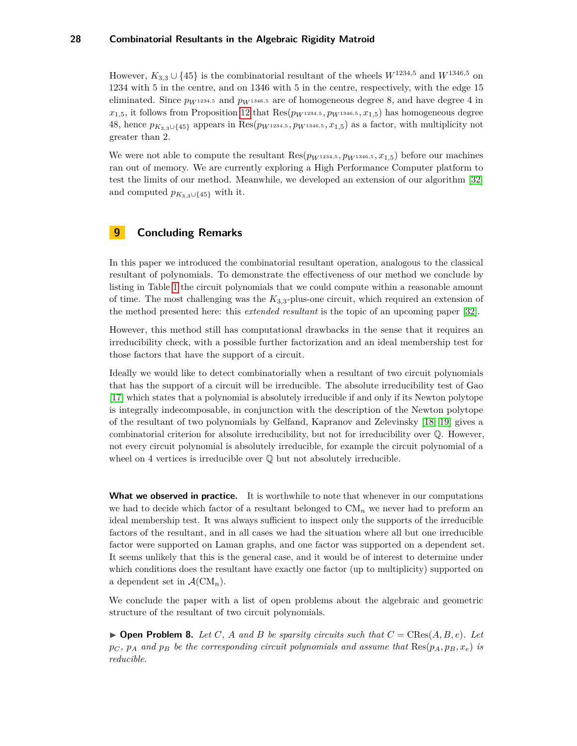However,  $K_{3,3} \cup \{45\}$  is the combinatorial resultant of the wheels  $W^{1234,5}$  and  $W^{1346,5}$  on 1234 with 5 in the centre, and on 1346 with 5 in the centre, respectively, with the edge 15 eliminated. Since  $p_{W^{1234,5}}$  and  $p_{W^{1346,5}}$  are of homogeneous degree 8, and have degree 4 in  $x_{1,5}$ , it follows from Proposition [12](#page-11-0) that  $Res(p_{W^{1234,5}}, p_{W^{1346,5}}, x_{1,5})$  has homogeneous degree 48, hence  $p_{K_{3,3}\cup\{45\}}$  appears in Res( $p_{W^{1234,5}}$ ,  $p_{W^{1346,5}}$ ,  $x_{1,5}$ ) as a factor, with multiplicity not greater than 2.

We were not able to compute the resultant  $\text{Res}(p_{W^{1234,5}}, p_{W^{1346,5}}, x_{1.5})$  before our machines ran out of memory. We are currently exploring a High Performance Computer platform to test the limits of our method. Meanwhile, we developed an extension of our algorithm [\[32\]](#page-30-22) and computed  $p_{K_3}$ <sub>3∪{45}</sub> with it.

# <span id="page-27-0"></span>**9 Concluding Remarks**

In this paper we introduced the combinatorial resultant operation, analogous to the classical resultant of polynomials. To demonstrate the effectiveness of our method we conclude by listing in Table [1](#page-28-1) the circuit polynomials that we could compute within a reasonable amount of time. The most challenging was the *K*3*,*3-plus-one circuit, which required an extension of the method presented here: this *extended resultant* is the topic of an upcoming paper [\[32\]](#page-30-22).

However, this method still has computational drawbacks in the sense that it requires an irreducibility check, with a possible further factorization and an ideal membership test for those factors that have the support of a circuit.

Ideally we would like to detect combinatorially when a resultant of two circuit polynomials that has the support of a circuit will be irreducible. The absolute irreducibility test of Gao [\[17\]](#page-29-19) which states that a polynomial is absolutely irreducible if and only if its Newton polytope is integrally indecomposable, in conjunction with the description of the Newton polytope of the resultant of two polynomials by Gelfand, Kapranov and Zelevinsky [\[18,](#page-29-20) [19\]](#page-29-5) gives a combinatorial criterion for absolute irreducibility, but not for irreducibility over Q. However, not every circuit polynomial is absolutely irreducible, for example the circuit polynomial of a wheel on 4 vertices is irreducible over  $\mathbb Q$  but not absolutely irreducible.

**What we observed in practice.** It is worthwhile to note that whenever in our computations we had to decide which factor of a resultant belonged to  $CM_n$  we never had to preform an ideal membership test. It was always sufficient to inspect only the supports of the irreducible factors of the resultant, and in all cases we had the situation where all but one irreducible factor were supported on Laman graphs, and one factor was supported on a dependent set. It seems unlikely that this is the general case, and it would be of interest to determine under which conditions does the resultant have exactly one factor (up to multiplicity) supported on a dependent set in  $\mathcal{A}(\mathrm{CM}_n)$ .

We conclude the paper with a list of open problems about the algebraic and geometric structure of the resultant of two circuit polynomials.

**• Open Problem 8.** Let C, A and B be sparsity circuits such that  $C = \text{CRes}(A, B, e)$ . Let  $p_C$ ,  $p_A$  and  $p_B$  be the corresponding circuit polynomials and assume that  $\text{Res}(p_A, p_B, x_e)$  *is reducible.*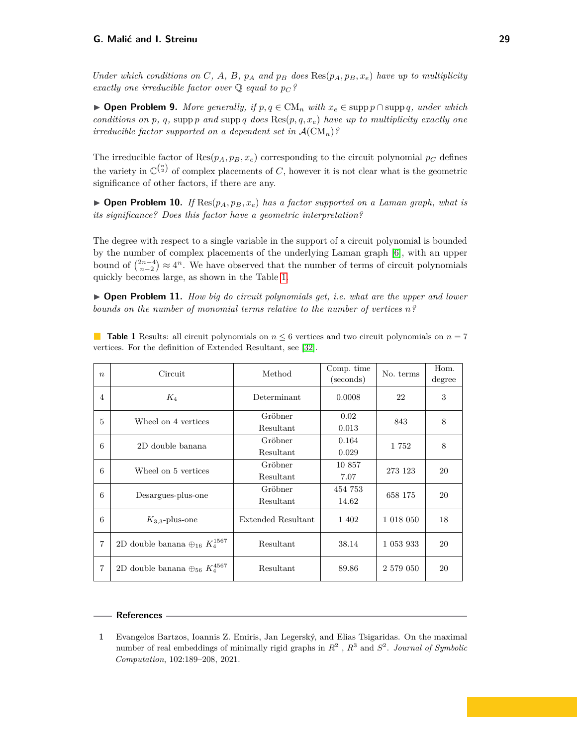Under which conditions on C, A, B,  $p_A$  and  $p_B$  does  $\text{Res}(p_A, p_B, x_e)$  have up to multiplicity *exactly one irreducible factor over*  $\mathbb{Q}$  *equal to*  $p_C$ ?

▶ **Open Problem 9.** *More generally, if*  $p, q \in CM_n$  *with*  $x_e \in \text{supp } p \cap \text{supp } q$ *, under which conditions on*  $p$ *,*  $q$ *,* supp  $p$  *and* supp  $q$  *does*  $\text{Res}(p, q, x_e)$  *have up to multiplicity exactly one irreducible factor supported on a dependent set in*  $\mathcal{A}(\mathrm{CM}_n)$ ?

The irreducible factor of  $\text{Res}(p_A, p_B, x_e)$  corresponding to the circuit polynomial  $p_C$  defines the variety in  $\mathbb{C}^{n \choose 2}$  of complex placements of *C*, however it is not clear what is the geometric significance of other factors, if there are any.

 $\triangleright$  **Open Problem 10.** *If* Res( $p_A, p_B, x_e$ ) *has a factor supported on a Laman graph, what is its significance? Does this factor have a geometric interpretation?*

The degree with respect to a single variable in the support of a circuit polynomial is bounded by the number of complex placements of the underlying Laman graph [\[6\]](#page-29-0), with an upper bound of  $\binom{2n-4}{n-2} \approx 4^n$ . We have observed that the number of terms of circuit polynomials quickly becomes large, as shown in the Table [1.](#page-28-1)

 $\triangleright$  **Open Problem 11.** *How big do circuit polynomials get, i.e. what are the upper and lower bounds on the number of monomial terms relative to the number of vertices n?*

| $\boldsymbol{n}$ | Circuit                                              | Method               | Comp. time<br>(seconds) | No. terms | Hom.<br>degree |
|------------------|------------------------------------------------------|----------------------|-------------------------|-----------|----------------|
| $\overline{4}$   | $K_4$                                                | Determinant          | 0.0008                  | 22        | 3              |
| 5                | Wheel on 4 vertices                                  | Gröbner<br>Resultant | 0.02<br>0.013           | 843       | 8              |
| 6                | 2D double banana                                     | Gröbner<br>Resultant | 0.164<br>0.029          | 1752      | 8              |
| 6                | Wheel on 5 vertices                                  | Gröbner<br>Resultant | 10 857<br>7.07          | 273 123   | 20             |
| 6                | Desargues-plus-one                                   | Gröbner<br>Resultant | 454 753<br>14.62        | 658 175   | 20             |
| 6                | $K_{3,3}$ -plus-one                                  | Extended Resultant   | 1 402                   | 1 018 050 | 18             |
| $\overline{7}$   | 2D double banana $\oplus_{16}\,K_4^{1567}$           | Resultant            | 38.14                   | 1 053 933 | 20             |
| $\overline{7}$   | 2D double banana $\oplus$ <sub>56</sub> $K_4^{4567}$ | Resultant            | 89.86                   | 2 579 050 | 20             |

<span id="page-28-1"></span>**Table 1** Results: all circuit polynomials on  $n \leq 6$  vertices and two circuit polynomials on  $n = 7$ vertices. For the definition of Extended Resultant, see [\[32\]](#page-30-22).

#### **References**

<span id="page-28-0"></span>**<sup>1</sup>** Evangelos Bartzos, Ioannis Z. Emiris, Jan Legerský, and Elias Tsigaridas. On the maximal number of real embeddings of minimally rigid graphs in  $R^2$ ,  $R^3$  and  $S^2$ . *Journal of Symbolic Computation*, 102:189–208, 2021.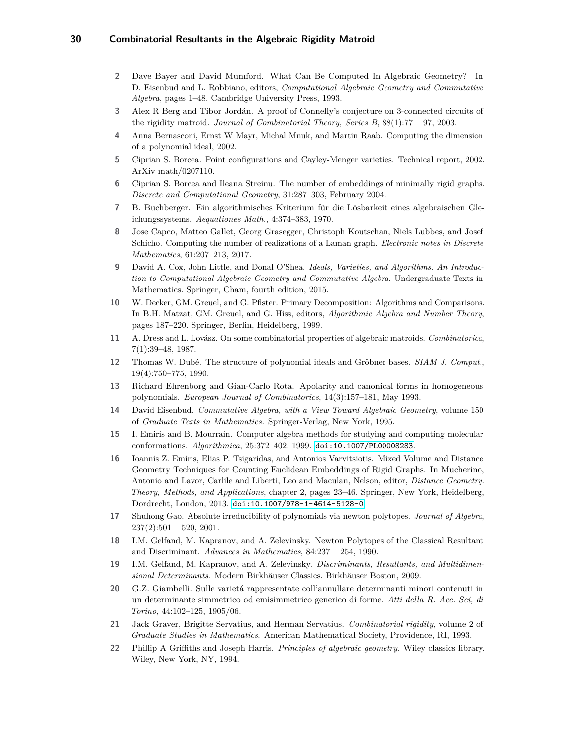- <span id="page-29-16"></span>**2** Dave Bayer and David Mumford. What Can Be Computed In Algebraic Geometry? In D. Eisenbud and L. Robbiano, editors, *Computational Algebraic Geometry and Commutative Algebra*, pages 1–48. Cambridge University Press, 1993.
- <span id="page-29-4"></span>**3** Alex R Berg and Tibor Jordán. A proof of Connelly's conjecture on 3-connected circuits of the rigidity matroid. *Journal of Combinatorial Theory, Series B*, 88(1):77 – 97, 2003.
- <span id="page-29-18"></span>**4** Anna Bernasconi, Ernst W Mayr, Michal Mnuk, and Martin Raab. Computing the dimension of a polynomial ideal, 2002.
- <span id="page-29-11"></span>**5** Ciprian S. Borcea. Point configurations and Cayley-Menger varieties. Technical report, 2002. ArXiv math/0207110.
- <span id="page-29-0"></span>**6** Ciprian S. Borcea and Ileana Streinu. The number of embeddings of minimally rigid graphs. *Discrete and Computational Geometry*, 31:287–303, February 2004.
- <span id="page-29-8"></span>**7** B. Buchberger. Ein algorithmisches Kriterium für die Lösbarkeit eines algebraischen Gleichungssystems. *Aequationes Math.*, 4:374–383, 1970.
- <span id="page-29-1"></span>**8** Jose Capco, Matteo Gallet, Georg Grasegger, Christoph Koutschan, Niels Lubbes, and Josef Schicho. Computing the number of realizations of a Laman graph. *Electronic notes in Discrete Mathematics*, 61:207–213, 2017.
- <span id="page-29-7"></span>**9** David A. Cox, John Little, and Donal O'Shea. *Ideals, Varieties, and Algorithms. An Introduction to Computational Algebraic Geometry and Commutative Algebra*. Undergraduate Texts in Mathematics. Springer, Cham, fourth edition, 2015.
- <span id="page-29-15"></span>**10** W. Decker, GM. Greuel, and G. Pfister. Primary Decomposition: Algorithms and Comparisons. In B.H. Matzat, GM. Greuel, and G. Hiss, editors, *Algorithmic Algebra and Number Theory*, pages 187–220. Springer, Berlin, Heidelberg, 1999.
- <span id="page-29-10"></span>**11** A. Dress and L. Lovász. On some combinatorial properties of algebraic matroids. *Combinatorica*, 7(1):39–48, 1987.
- <span id="page-29-17"></span>**12** Thomas W. Dubé. The structure of polynomial ideals and Gröbner bases. *SIAM J. Comput.*, 19(4):750–775, 1990.
- <span id="page-29-14"></span>**13** Richard Ehrenborg and Gian-Carlo Rota. Apolarity and canonical forms in homogeneous polynomials. *European Journal of Combinatorics*, 14(3):157–181, May 1993.
- <span id="page-29-9"></span>**14** David Eisenbud. *Commutative Algebra, with a View Toward Algebraic Geometry*, volume 150 of *Graduate Texts in Mathematics.* Springer-Verlag, New York, 1995.
- <span id="page-29-3"></span>**15** I. Emiris and B. Mourrain. Computer algebra methods for studying and computing molecular conformations. *Algorithmica*, 25:372–402, 1999. [doi:10.1007/PL00008283](https://doi.org/10.1007/PL00008283).
- <span id="page-29-2"></span>**16** Ioannis Z. Emiris, Elias P. Tsigaridas, and Antonios Varvitsiotis. Mixed Volume and Distance Geometry Techniques for Counting Euclidean Embeddings of Rigid Graphs. In Mucherino, Antonio and Lavor, Carlile and Liberti, Leo and Maculan, Nelson, editor, *Distance Geometry. Theory, Methods, and Applications*, chapter 2, pages 23–46. Springer, New York, Heidelberg, Dordrecht, London, 2013. [doi:10.1007/978-1-4614-5128-0](https://doi.org/10.1007/978-1-4614-5128-0).
- <span id="page-29-19"></span>**17** Shuhong Gao. Absolute irreducibility of polynomials via newton polytopes. *Journal of Algebra*,  $237(2):501 - 520, 2001.$
- <span id="page-29-20"></span>**18** I.M. Gelfand, M. Kapranov, and A. Zelevinsky. Newton Polytopes of the Classical Resultant and Discriminant. *Advances in Mathematics*, 84:237 – 254, 1990.
- <span id="page-29-5"></span>**19** I.M. Gelfand, M. Kapranov, and A. Zelevinsky. *Discriminants, Resultants, and Multidimensional Determinants*. Modern Birkhäuser Classics. Birkhäuser Boston, 2009.
- <span id="page-29-12"></span>**20** G.Z. Giambelli. Sulle varietá rappresentate coll'annullare determinanti minori contenuti in un determinante simmetrico od emisimmetrico generico di forme. *Atti della R. Acc. Sci, di Torino*, 44:102–125, 1905/06.
- <span id="page-29-13"></span>**21** Jack Graver, Brigitte Servatius, and Herman Servatius. *Combinatorial rigidity*, volume 2 of *Graduate Studies in Mathematics*. American Mathematical Society, Providence, RI, 1993.
- <span id="page-29-6"></span>**22** Phillip A Griffiths and Joseph Harris. *Principles of algebraic geometry*. Wiley classics library. Wiley, New York, NY, 1994.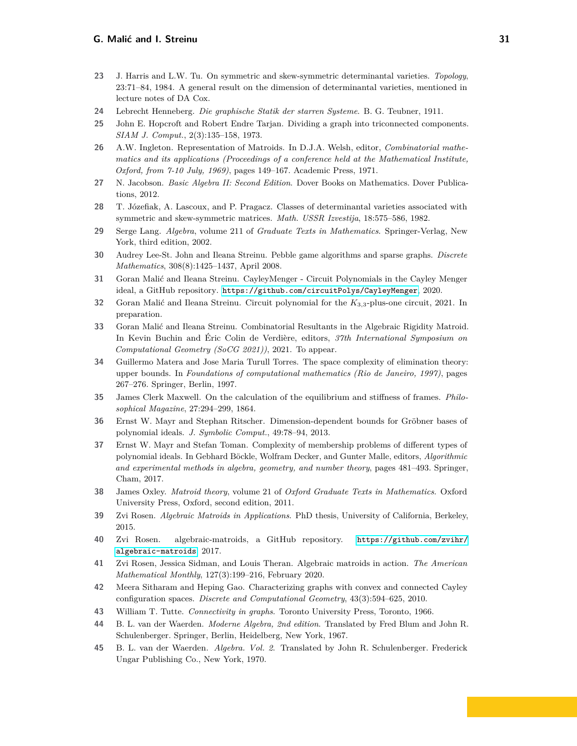- <span id="page-30-15"></span>**23** J. Harris and L.W. Tu. On symmetric and skew-symmetric determinantal varieties. *Topology*, 23:71–84, 1984. A general result on the dimension of determinantal varieties, mentioned in lecture notes of DA Cox.
- <span id="page-30-5"></span>**24** Lebrecht Henneberg. *Die graphische Statik der starren Systeme*. B. G. Teubner, 1911.
- <span id="page-30-7"></span>**25** John E. Hopcroft and Robert Endre Tarjan. Dividing a graph into triconnected components. *SIAM J. Comput.*, 2(3):135–158, 1973.
- <span id="page-30-17"></span>**26** A.W. Ingleton. Representation of Matroids. In D.J.A. Welsh, editor, *Combinatorial mathematics and its applications (Proceedings of a conference held at the Mathematical Institute, Oxford, from 7-10 July, 1969)*, pages 149–167. Academic Press, 1971.
- <span id="page-30-14"></span>**27** N. Jacobson. *Basic Algebra II: Second Edition*. Dover Books on Mathematics. Dover Publications, 2012.
- <span id="page-30-16"></span>**28** T. Józefiak, A. Lascoux, and P. Pragacz. Classes of determinantal varieties associated with symmetric and skew-symmetric matrices. *Math. USSR Izvestija*, 18:575–586, 1982.
- <span id="page-30-13"></span>**29** Serge Lang. *Algebra*, volume 211 of *Graduate Texts in Mathematics*. Springer-Verlag, New York, third edition, 2002.
- <span id="page-30-6"></span>**30** Audrey Lee-St. John and Ileana Streinu. Pebble game algorithms and sparse graphs. *Discrete Mathematics*, 308(8):1425–1437, April 2008.
- <span id="page-30-8"></span>**31** Goran Malić and Ileana Streinu. CayleyMenger - Circuit Polynomials in the Cayley Menger ideal, a GitHub repository. <https://github.com/circuitPolys/CayleyMenger>, 2020.
- <span id="page-30-22"></span>**32** Goran Malić and Ileana Streinu. Circuit polynomial for the *K*3*,*3-plus-one circuit, 2021. In preparation.
- <span id="page-30-0"></span>**33** Goran Malić and Ileana Streinu. Combinatorial Resultants in the Algebraic Rigidity Matroid. In Kevin Buchin and Éric Colin de Verdière, editors, *37th International Symposium on Computational Geometry (SoCG 2021))*, 2021. To appear.
- <span id="page-30-21"></span>**34** Guillermo Matera and Jose Maria Turull Torres. The space complexity of elimination theory: upper bounds. In *Foundations of computational mathematics (Rio de Janeiro, 1997)*, pages 267–276. Springer, Berlin, 1997.
- <span id="page-30-18"></span>**35** James Clerk Maxwell. On the calculation of the equilibrium and stiffness of frames. *Philosophical Magazine*, 27:294–299, 1864.
- <span id="page-30-20"></span>**36** Ernst W. Mayr and Stephan Ritscher. Dimension-dependent bounds for Gröbner bases of polynomial ideals. *J. Symbolic Comput.*, 49:78–94, 2013.
- <span id="page-30-19"></span>**37** Ernst W. Mayr and Stefan Toman. Complexity of membership problems of different types of polynomial ideals. In Gebhard Böckle, Wolfram Decker, and Gunter Malle, editors, *Algorithmic and experimental methods in algebra, geometry, and number theory*, pages 481–493. Springer, Cham, 2017.
- <span id="page-30-9"></span>**38** James Oxley. *Matroid theory*, volume 21 of *Oxford Graduate Texts in Mathematics*. Oxford University Press, Oxford, second edition, 2011.
- <span id="page-30-1"></span>**39** Zvi Rosen. *Algebraic Matroids in Applications*. PhD thesis, University of California, Berkeley, 2015.
- <span id="page-30-2"></span>**40** Zvi Rosen. algebraic-matroids, a GitHub repository. [https://github.com/zvihr/](https://github.com/zvihr/algebraic-matroids) [algebraic-matroids](https://github.com/zvihr/algebraic-matroids), 2017.
- <span id="page-30-3"></span>**41** Zvi Rosen, Jessica Sidman, and Louis Theran. Algebraic matroids in action. *The American Mathematical Monthly*, 127(3):199–216, February 2020.
- <span id="page-30-4"></span>**42** Meera Sitharam and Heping Gao. Characterizing graphs with convex and connected Cayley configuration spaces. *Discrete and Computational Geometry*, 43(3):594–625, 2010.
- <span id="page-30-10"></span>**43** William T. Tutte. *Connectivity in graphs*. Toronto University Press, Toronto, 1966.
- <span id="page-30-11"></span>**44** B. L. van der Waerden. *Moderne Algebra, 2nd edition*. Translated by Fred Blum and John R. Schulenberger. Springer, Berlin, Heidelberg, New York, 1967.
- <span id="page-30-12"></span>**45** B. L. van der Waerden. *Algebra. Vol. 2*. Translated by John R. Schulenberger. Frederick Ungar Publishing Co., New York, 1970.